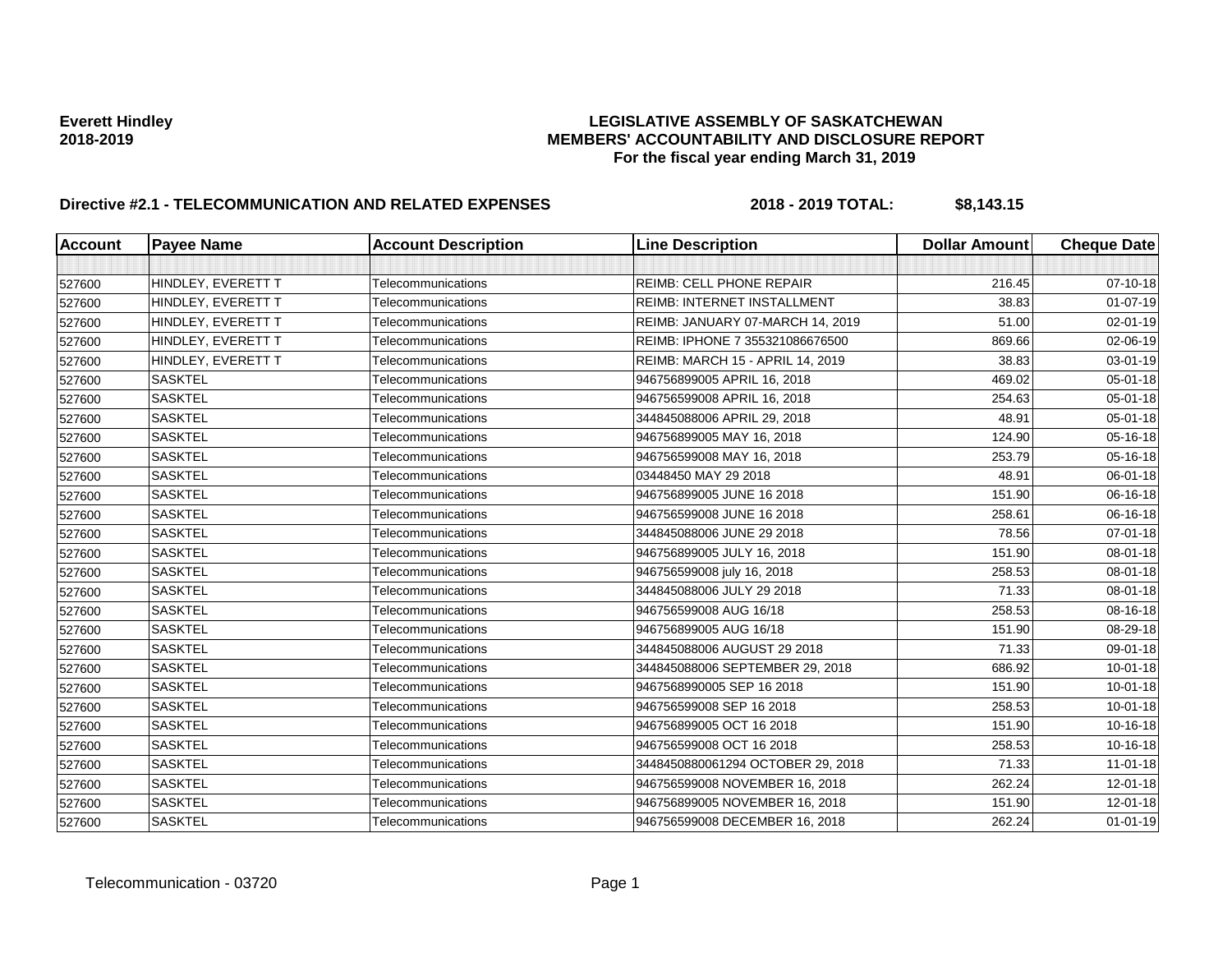| Account | <b>Payee Name</b>  | <b>Account Description</b> | <b>Line Description</b>            | <b>Dollar Amount</b> | <b>Cheque Date</b> |
|---------|--------------------|----------------------------|------------------------------------|----------------------|--------------------|
|         |                    |                            |                                    |                      |                    |
| 527600  | HINDLEY, EVERETT T | Telecommunications         | <b>REIMB: CELL PHONE REPAIR</b>    | 216.45               | 07-10-18           |
| 527600  | HINDLEY, EVERETT T | Telecommunications         | <b>REIMB: INTERNET INSTALLMENT</b> | 38.83                | $01-07-19$         |
| 527600  | HINDLEY, EVERETT T | Telecommunications         | REIMB: JANUARY 07-MARCH 14, 2019   | 51.00                | 02-01-19           |
| 527600  | HINDLEY, EVERETT T | Telecommunications         | REIMB: IPHONE 7 355321086676500    | 869.66               | 02-06-19           |
| 527600  | HINDLEY, EVERETT T | Telecommunications         | REIMB: MARCH 15 - APRIL 14, 2019   | 38.83                | 03-01-19           |
| 527600  | <b>SASKTEL</b>     | Telecommunications         | 946756899005 APRIL 16, 2018        | 469.02               | 05-01-18           |
| 527600  | <b>SASKTEL</b>     | Telecommunications         | 946756599008 APRIL 16, 2018        | 254.63               | 05-01-18           |
| 527600  | <b>SASKTEL</b>     | Telecommunications         | 344845088006 APRIL 29, 2018        | 48.91                | 05-01-18           |
| 527600  | <b>SASKTEL</b>     | Telecommunications         | 946756899005 MAY 16, 2018          | 124.90               | 05-16-18           |
| 527600  | <b>SASKTEL</b>     | Telecommunications         | 946756599008 MAY 16, 2018          | 253.79               | 05-16-18           |
| 527600  | <b>SASKTEL</b>     | Telecommunications         | 03448450 MAY 29 2018               | 48.91                | 06-01-18           |
| 527600  | <b>SASKTEL</b>     | Telecommunications         | 946756899005 JUNE 16 2018          | 151.90               | 06-16-18           |
| 527600  | <b>SASKTEL</b>     | Telecommunications         | 946756599008 JUNE 16 2018          | 258.61               | 06-16-18           |
| 527600  | <b>SASKTEL</b>     | Telecommunications         | 344845088006 JUNE 29 2018          | 78.56                | 07-01-18           |
| 527600  | <b>SASKTEL</b>     | Telecommunications         | 946756899005 JULY 16, 2018         | 151.90               | 08-01-18           |
| 527600  | <b>SASKTEL</b>     | Telecommunications         | 946756599008 july 16, 2018         | 258.53               | 08-01-18           |
| 527600  | <b>SASKTEL</b>     | Telecommunications         | 344845088006 JULY 29 2018          | 71.33                | 08-01-18           |
| 527600  | <b>SASKTEL</b>     | Telecommunications         | 946756599008 AUG 16/18             | 258.53               | 08-16-18           |
| 527600  | <b>SASKTEL</b>     | Telecommunications         | 946756899005 AUG 16/18             | 151.90               | 08-29-18           |
| 527600  | <b>SASKTEL</b>     | Telecommunications         | 344845088006 AUGUST 29 2018        | 71.33                | 09-01-18           |
| 527600  | <b>SASKTEL</b>     | Telecommunications         | 344845088006 SEPTEMBER 29, 2018    | 686.92               | $10 - 01 - 18$     |
| 527600  | <b>SASKTEL</b>     | Telecommunications         | 9467568990005 SEP 16 2018          | 151.90               | 10-01-18           |
| 527600  | <b>SASKTEL</b>     | Telecommunications         | 946756599008 SEP 16 2018           | 258.53               | $10 - 01 - 18$     |
| 527600  | <b>SASKTEL</b>     | Telecommunications         | 946756899005 OCT 16 2018           | 151.90               | 10-16-18           |
| 527600  | <b>SASKTEL</b>     | Telecommunications         | 946756599008 OCT 16 2018           | 258.53               | 10-16-18           |
| 527600  | <b>SASKTEL</b>     | Telecommunications         | 3448450880061294 OCTOBER 29, 2018  | 71.33                | $11 - 01 - 18$     |
| 527600  | <b>SASKTEL</b>     | Telecommunications         | 946756599008 NOVEMBER 16, 2018     | 262.24               | $12 - 01 - 18$     |
| 527600  | <b>SASKTEL</b>     | Telecommunications         | 946756899005 NOVEMBER 16, 2018     | 151.90               | $12 - 01 - 18$     |
| 527600  | <b>SASKTEL</b>     | Telecommunications         | 946756599008 DECEMBER 16, 2018     | 262.24               | $01 - 01 - 19$     |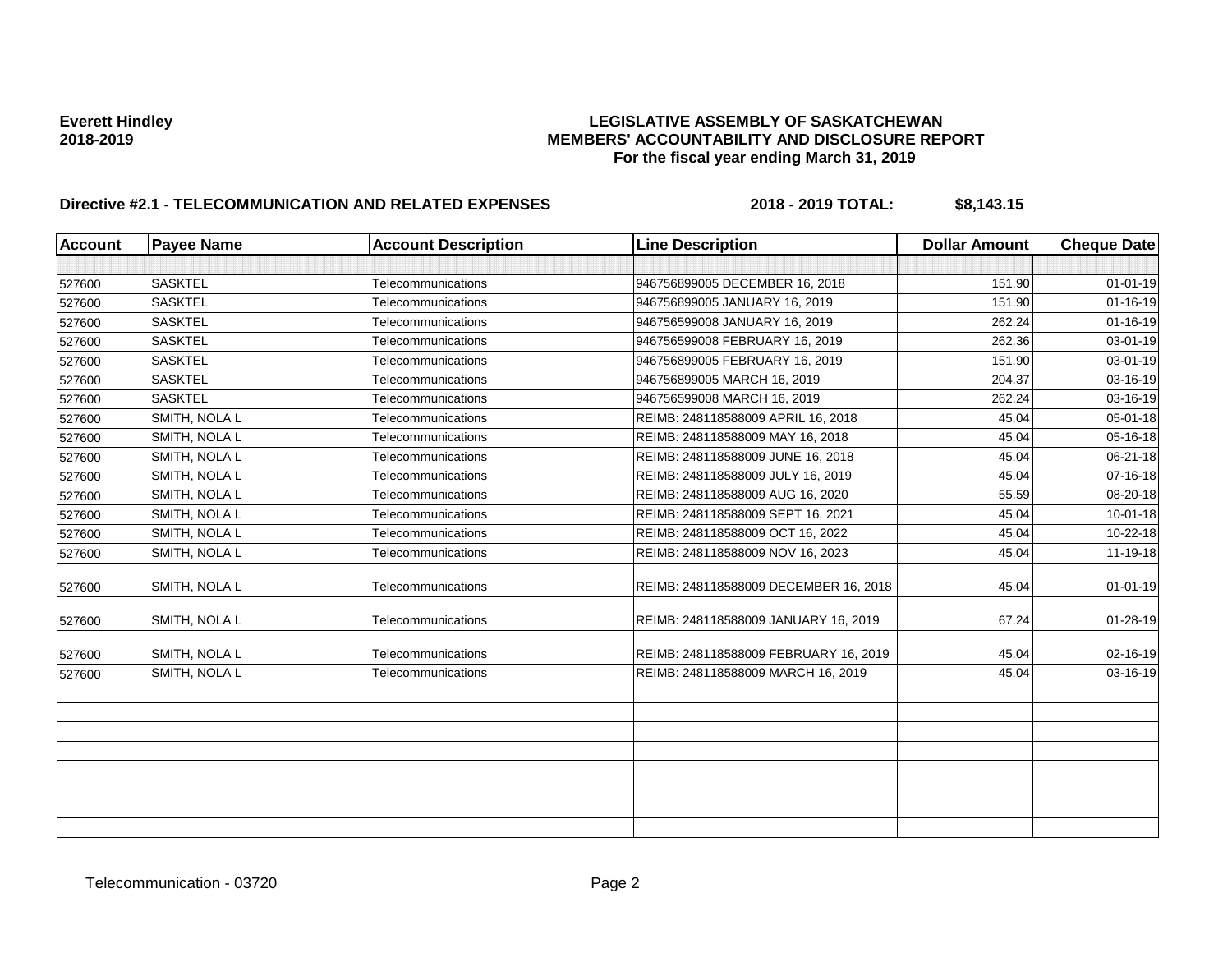| <b>Account</b> | <b>Payee Name</b> | <b>Account Description</b> | <b>Line Description</b>               | <b>Dollar Amount</b> | <b>Cheque Date</b> |
|----------------|-------------------|----------------------------|---------------------------------------|----------------------|--------------------|
|                |                   |                            |                                       |                      |                    |
| 527600         | <b>SASKTEL</b>    | Telecommunications         | 946756899005 DECEMBER 16, 2018        | 151.90               | $01 - 01 - 19$     |
| 527600         | <b>SASKTEL</b>    | Telecommunications         | 946756899005 JANUARY 16, 2019         | 151.90               | $01 - 16 - 19$     |
| 527600         | <b>SASKTEL</b>    | Telecommunications         | 946756599008 JANUARY 16, 2019         | 262.24               | $01 - 16 - 19$     |
| 527600         | <b>SASKTEL</b>    | Telecommunications         | 946756599008 FEBRUARY 16, 2019        | 262.36               | 03-01-19           |
| 527600         | <b>SASKTEL</b>    | Telecommunications         | 946756899005 FEBRUARY 16, 2019        | 151.90               | 03-01-19           |
| 527600         | <b>SASKTEL</b>    | Telecommunications         | 946756899005 MARCH 16, 2019           | 204.37               | 03-16-19           |
| 527600         | <b>SASKTEL</b>    | Telecommunications         | 946756599008 MARCH 16, 2019           | 262.24               | 03-16-19           |
| 527600         | SMITH, NOLA L     | Telecommunications         | REIMB: 248118588009 APRIL 16, 2018    | 45.04                | 05-01-18           |
| 527600         | SMITH, NOLA L     | Telecommunications         | REIMB: 248118588009 MAY 16, 2018      | 45.04                | 05-16-18           |
| 527600         | SMITH, NOLA L     | Telecommunications         | REIMB: 248118588009 JUNE 16, 2018     | 45.04                | 06-21-18           |
| 527600         | SMITH, NOLA L     | Telecommunications         | REIMB: 248118588009 JULY 16, 2019     | 45.04                | 07-16-18           |
| 527600         | SMITH, NOLA L     | Telecommunications         | REIMB: 248118588009 AUG 16, 2020      | 55.59                | 08-20-18           |
| 527600         | SMITH, NOLA L     | Telecommunications         | REIMB: 248118588009 SEPT 16, 2021     | 45.04                | $10 - 01 - 18$     |
| 527600         | SMITH, NOLA L     | Telecommunications         | REIMB: 248118588009 OCT 16, 2022      | 45.04                | 10-22-18           |
| 527600         | SMITH, NOLA L     | Telecommunications         | REIMB: 248118588009 NOV 16, 2023      | 45.04                | 11-19-18           |
| 527600         | SMITH, NOLA L     | Telecommunications         | REIMB: 248118588009 DECEMBER 16, 2018 | 45.04                | $01 - 01 - 19$     |
| 527600         | SMITH, NOLA L     | Telecommunications         | REIMB: 248118588009 JANUARY 16, 2019  | 67.24                | $01 - 28 - 19$     |
| 527600         | SMITH, NOLA L     | Telecommunications         | REIMB: 248118588009 FEBRUARY 16, 2019 | 45.04                | 02-16-19           |
| 527600         | SMITH, NOLA L     | Telecommunications         | REIMB: 248118588009 MARCH 16, 2019    | 45.04                | 03-16-19           |
|                |                   |                            |                                       |                      |                    |
|                |                   |                            |                                       |                      |                    |
|                |                   |                            |                                       |                      |                    |
|                |                   |                            |                                       |                      |                    |
|                |                   |                            |                                       |                      |                    |
|                |                   |                            |                                       |                      |                    |
|                |                   |                            |                                       |                      |                    |
|                |                   |                            |                                       |                      |                    |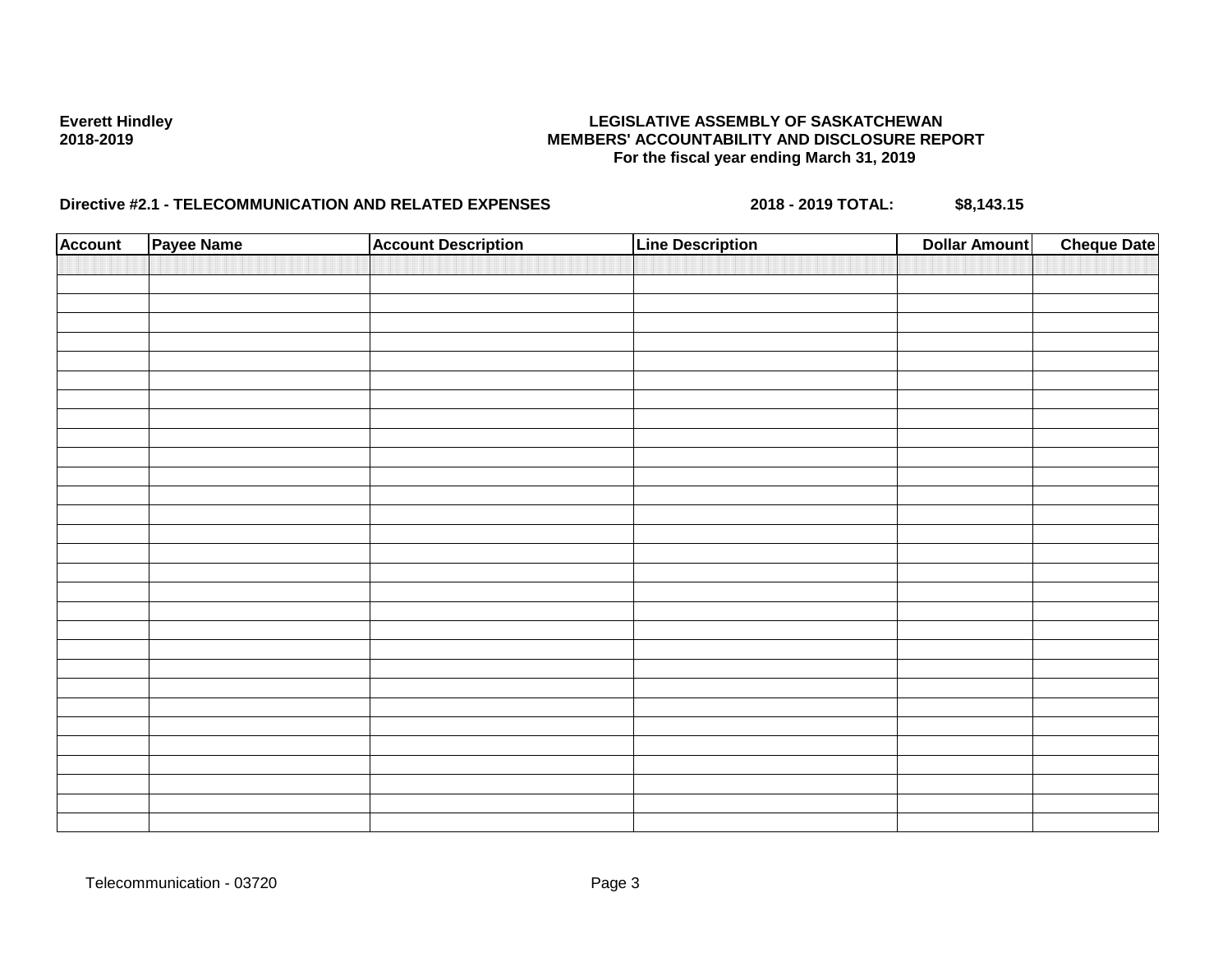| <b>Account</b> | Payee Name | <b>Account Description</b> | <b>Line Description</b> | <b>Dollar Amount</b> | <b>Cheque Date</b> |
|----------------|------------|----------------------------|-------------------------|----------------------|--------------------|
|                |            |                            |                         |                      |                    |
|                |            |                            |                         |                      |                    |
|                |            |                            |                         |                      |                    |
|                |            |                            |                         |                      |                    |
|                |            |                            |                         |                      |                    |
|                |            |                            |                         |                      |                    |
|                |            |                            |                         |                      |                    |
|                |            |                            |                         |                      |                    |
|                |            |                            |                         |                      |                    |
|                |            |                            |                         |                      |                    |
|                |            |                            |                         |                      |                    |
|                |            |                            |                         |                      |                    |
|                |            |                            |                         |                      |                    |
|                |            |                            |                         |                      |                    |
|                |            |                            |                         |                      |                    |
|                |            |                            |                         |                      |                    |
|                |            |                            |                         |                      |                    |
|                |            |                            |                         |                      |                    |
|                |            |                            |                         |                      |                    |
|                |            |                            |                         |                      |                    |
|                |            |                            |                         |                      |                    |
|                |            |                            |                         |                      |                    |
|                |            |                            |                         |                      |                    |
|                |            |                            |                         |                      |                    |
|                |            |                            |                         |                      |                    |
|                |            |                            |                         |                      |                    |
|                |            |                            |                         |                      |                    |
|                |            |                            |                         |                      |                    |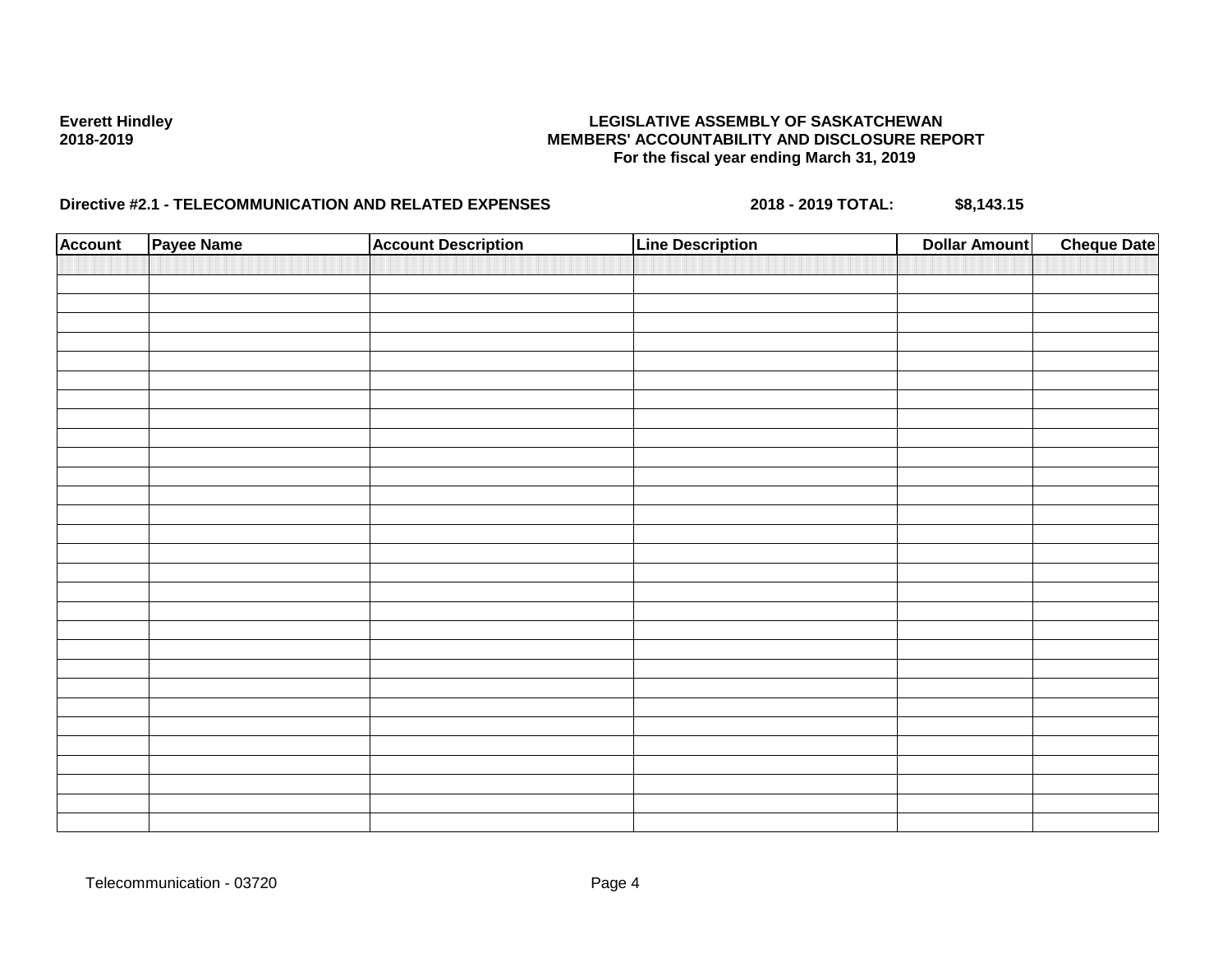| <b>Account</b> | Payee Name | <b>Account Description</b> | <b>Line Description</b> | <b>Dollar Amount</b> | <b>Cheque Date</b> |
|----------------|------------|----------------------------|-------------------------|----------------------|--------------------|
|                |            |                            |                         |                      |                    |
|                |            |                            |                         |                      |                    |
|                |            |                            |                         |                      |                    |
|                |            |                            |                         |                      |                    |
|                |            |                            |                         |                      |                    |
|                |            |                            |                         |                      |                    |
|                |            |                            |                         |                      |                    |
|                |            |                            |                         |                      |                    |
|                |            |                            |                         |                      |                    |
|                |            |                            |                         |                      |                    |
|                |            |                            |                         |                      |                    |
|                |            |                            |                         |                      |                    |
|                |            |                            |                         |                      |                    |
|                |            |                            |                         |                      |                    |
|                |            |                            |                         |                      |                    |
|                |            |                            |                         |                      |                    |
|                |            |                            |                         |                      |                    |
|                |            |                            |                         |                      |                    |
|                |            |                            |                         |                      |                    |
|                |            |                            |                         |                      |                    |
|                |            |                            |                         |                      |                    |
|                |            |                            |                         |                      |                    |
|                |            |                            |                         |                      |                    |
|                |            |                            |                         |                      |                    |
|                |            |                            |                         |                      |                    |
|                |            |                            |                         |                      |                    |
|                |            |                            |                         |                      |                    |
|                |            |                            |                         |                      |                    |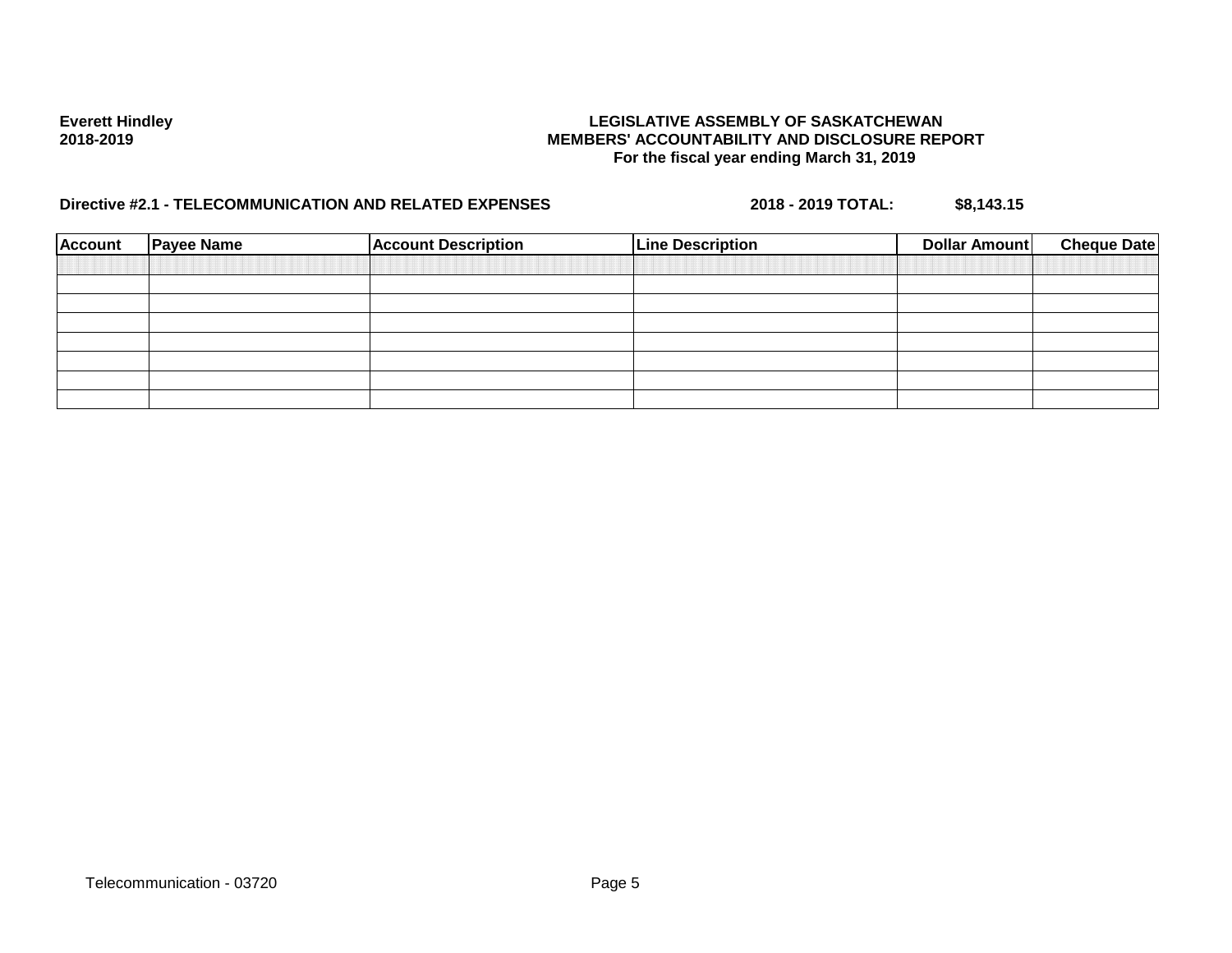| <b>Account</b> | <b>Payee Name</b> | <b>Account Description</b> | <b>Line Description</b> | <b>Cheque Date</b><br><b>Dollar Amount</b> |
|----------------|-------------------|----------------------------|-------------------------|--------------------------------------------|
|                |                   |                            |                         |                                            |
|                |                   |                            |                         |                                            |
|                |                   |                            |                         |                                            |
|                |                   |                            |                         |                                            |
|                |                   |                            |                         |                                            |
|                |                   |                            |                         |                                            |
|                |                   |                            |                         |                                            |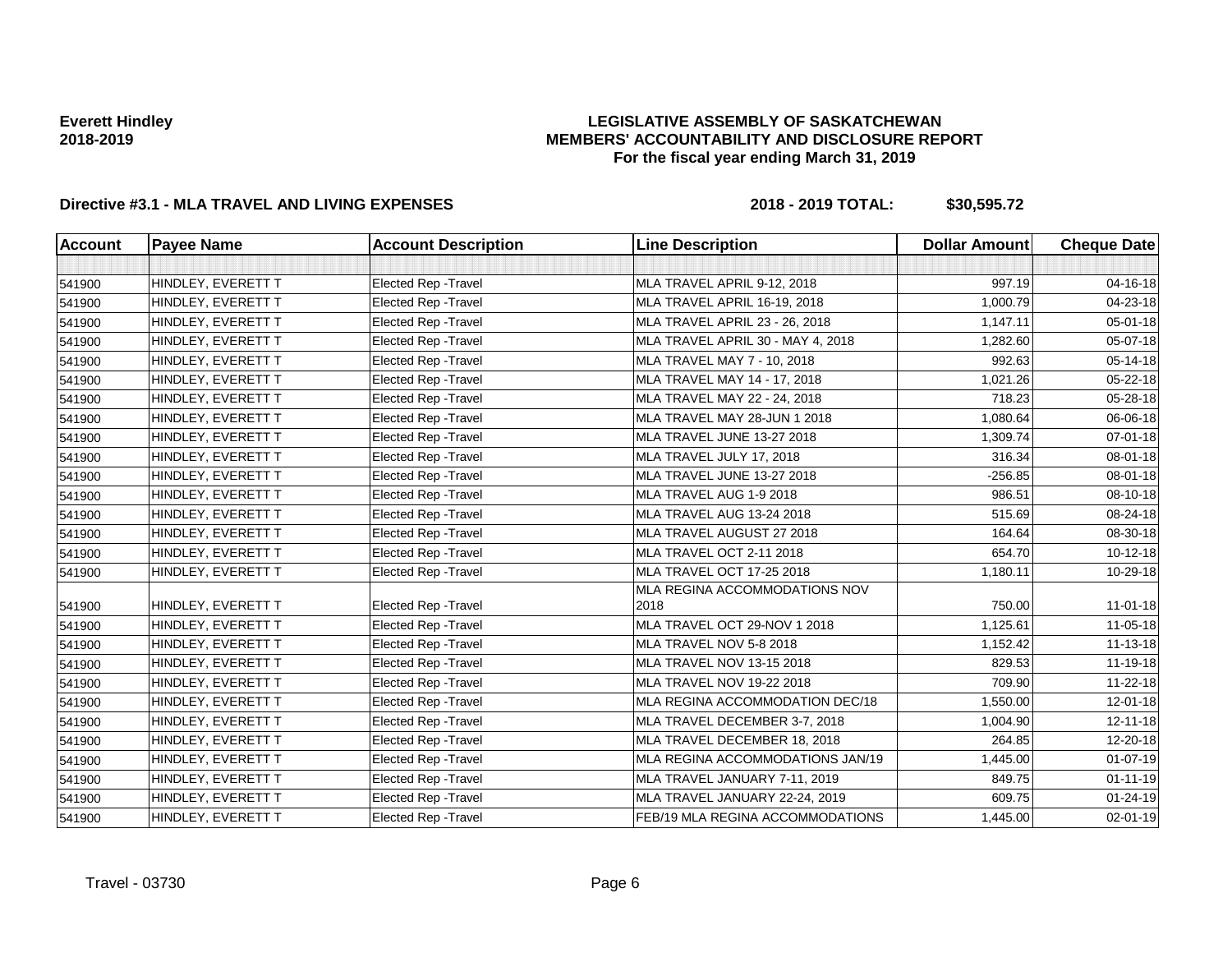## **LEGISLATIVE ASSEMBLY OF SASKATCHEWAN MEMBERS' ACCOUNTABILITY AND DISCLOSURE REPORT For the fiscal year ending March 31, 2019**

| Account | <b>Payee Name</b>  | <b>Account Description</b>  | <b>Line Description</b>               | <b>Dollar Amount</b> | <b>Cheque Date</b> |
|---------|--------------------|-----------------------------|---------------------------------------|----------------------|--------------------|
|         |                    |                             |                                       |                      |                    |
| 541900  | HINDLEY, EVERETT T | Elected Rep - Travel        | MLA TRAVEL APRIL 9-12, 2018           | 997.19               | 04-16-18           |
| 541900  | HINDLEY, EVERETT T | Elected Rep - Travel        | MLA TRAVEL APRIL 16-19, 2018          | 1,000.79             | 04-23-18           |
| 541900  | HINDLEY, EVERETT T | <b>Elected Rep - Travel</b> | MLA TRAVEL APRIL 23 - 26, 2018        | 1,147.11             | 05-01-18           |
| 541900  | HINDLEY, EVERETT T | Elected Rep - Travel        | MLA TRAVEL APRIL 30 - MAY 4, 2018     | 1,282.60             | 05-07-18           |
| 541900  | HINDLEY, EVERETT T | Elected Rep - Travel        | MLA TRAVEL MAY 7 - 10, 2018           | 992.63               | 05-14-18           |
| 541900  | HINDLEY, EVERETT T | Elected Rep - Travel        | MLA TRAVEL MAY 14 - 17, 2018          | 1,021.26             | 05-22-18           |
| 541900  | HINDLEY, EVERETT T | <b>Elected Rep - Travel</b> | MLA TRAVEL MAY 22 - 24, 2018          | 718.23               | 05-28-18           |
| 541900  | HINDLEY, EVERETT T | Elected Rep - Travel        | MLA TRAVEL MAY 28-JUN 1 2018          | 1,080.64             | 06-06-18           |
| 541900  | HINDLEY, EVERETT T | Elected Rep - Travel        | MLA TRAVEL JUNE 13-27 2018            | 1,309.74             | 07-01-18           |
| 541900  | HINDLEY, EVERETT T | <b>Elected Rep - Travel</b> | MLA TRAVEL JULY 17, 2018              | 316.34               | 08-01-18           |
| 541900  | HINDLEY, EVERETT T | <b>Elected Rep - Travel</b> | MLA TRAVEL JUNE 13-27 2018            | $-256.85$            | 08-01-18           |
| 541900  | HINDLEY, EVERETT T | Elected Rep - Travel        | MLA TRAVEL AUG 1-9 2018               | 986.51               | 08-10-18           |
| 541900  | HINDLEY, EVERETT T | Elected Rep - Travel        | MLA TRAVEL AUG 13-24 2018             | 515.69               | 08-24-18           |
| 541900  | HINDLEY, EVERETT T | Elected Rep - Travel        | MLA TRAVEL AUGUST 27 2018             | 164.64               | 08-30-18           |
| 541900  | HINDLEY, EVERETT T | Elected Rep - Travel        | MLA TRAVEL OCT 2-11 2018              | 654.70               | 10-12-18           |
| 541900  | HINDLEY, EVERETT T | <b>Elected Rep - Travel</b> | MLA TRAVEL OCT 17-25 2018             | 1,180.11             | 10-29-18           |
| 541900  | HINDLEY, EVERETT T | <b>Elected Rep - Travel</b> | MLA REGINA ACCOMMODATIONS NOV<br>2018 | 750.00               | $11-01-18$         |
| 541900  | HINDLEY, EVERETT T | <b>Elected Rep - Travel</b> | MLA TRAVEL OCT 29-NOV 1 2018          | 1,125.61             | $11 - 05 - 18$     |
| 541900  | HINDLEY, EVERETT T | <b>Elected Rep - Travel</b> | MLA TRAVEL NOV 5-8 2018               | 1,152.42             | 11-13-18           |
| 541900  | HINDLEY, EVERETT T | Elected Rep - Travel        | MLA TRAVEL NOV 13-15 2018             | 829.53               | 11-19-18           |
| 541900  | HINDLEY, EVERETT T | Elected Rep - Travel        | MLA TRAVEL NOV 19-22 2018             | 709.90               | 11-22-18           |
| 541900  | HINDLEY, EVERETT T | Elected Rep - Travel        | MLA REGINA ACCOMMODATION DEC/18       | 1,550.00             | 12-01-18           |
| 541900  | HINDLEY, EVERETT T | <b>Elected Rep - Travel</b> | MLA TRAVEL DECEMBER 3-7, 2018         | 1,004.90             | 12-11-18           |
| 541900  | HINDLEY, EVERETT T | <b>Elected Rep - Travel</b> | MLA TRAVEL DECEMBER 18, 2018          | 264.85               | 12-20-18           |
| 541900  | HINDLEY, EVERETT T | Elected Rep - Travel        | MLA REGINA ACCOMMODATIONS JAN/19      | 1,445.00             | $01-07-19$         |
| 541900  | HINDLEY, EVERETT T | Elected Rep - Travel        | MLA TRAVEL JANUARY 7-11, 2019         | 849.75               | $01 - 11 - 19$     |
| 541900  | HINDLEY, EVERETT T | Elected Rep - Travel        | MLA TRAVEL JANUARY 22-24, 2019        | 609.75               | $01 - 24 - 19$     |
| 541900  | HINDLEY, EVERETT T | <b>Elected Rep - Travel</b> | FEB/19 MLA REGINA ACCOMMODATIONS      | 1,445.00             | 02-01-19           |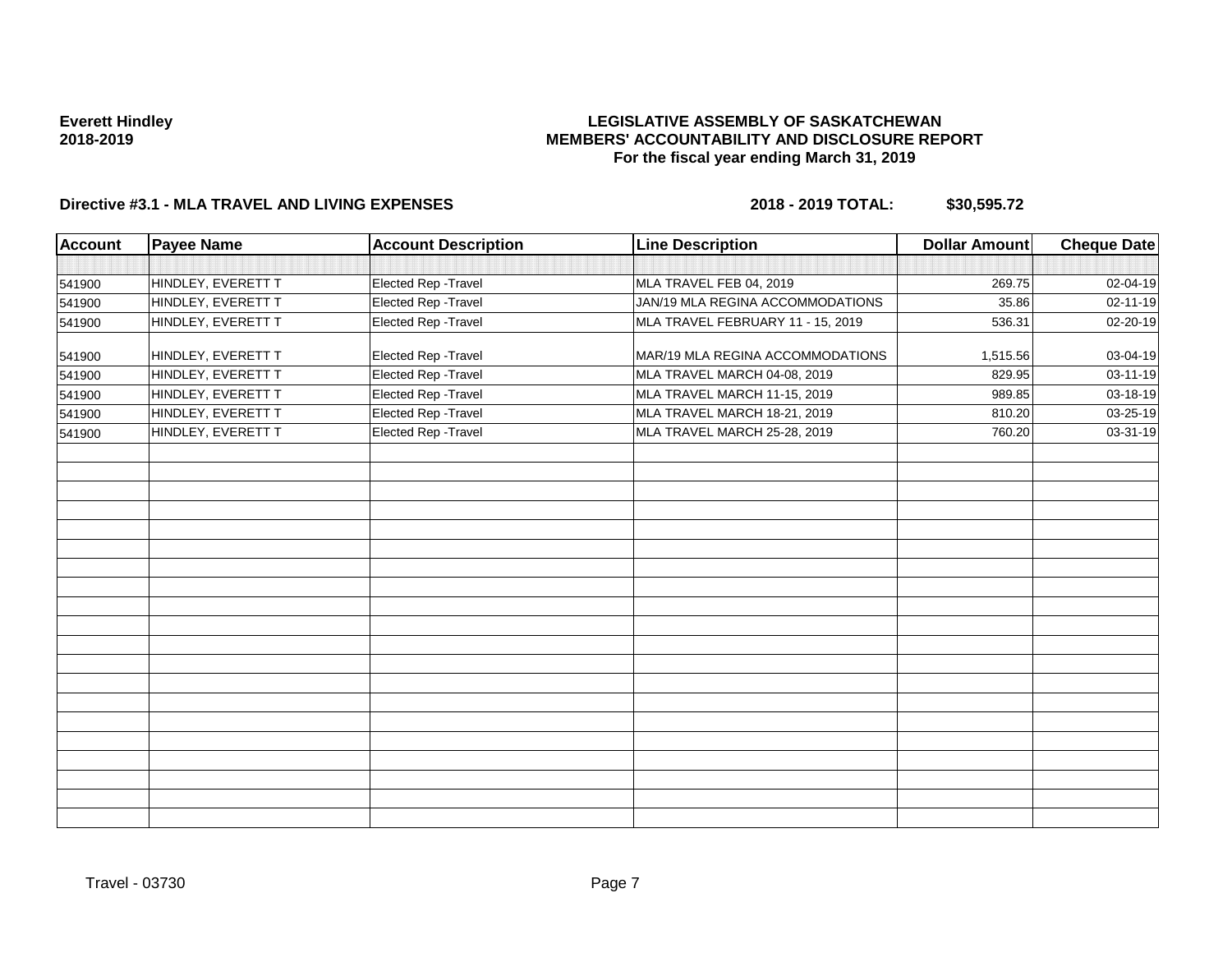## **LEGISLATIVE ASSEMBLY OF SASKATCHEWAN MEMBERS' ACCOUNTABILITY AND DISCLOSURE REPORT For the fiscal year ending March 31, 2019**

| <b>Account</b> | <b>Payee Name</b>  | <b>Account Description</b> | <b>Line Description</b>           | <b>Dollar Amount</b> | Cheque Date |
|----------------|--------------------|----------------------------|-----------------------------------|----------------------|-------------|
|                |                    |                            |                                   |                      |             |
| 541900         | HINDLEY, EVERETT T | Elected Rep - Travel       | MLA TRAVEL FEB 04, 2019           | 269.75               | 02-04-19    |
| 541900         | HINDLEY, EVERETT T | Elected Rep - Travel       | JAN/19 MLA REGINA ACCOMMODATIONS  | 35.86                | 02-11-19    |
| 541900         | HINDLEY, EVERETT T | Elected Rep - Travel       | MLA TRAVEL FEBRUARY 11 - 15, 2019 | 536.31               | 02-20-19    |
| 541900         | HINDLEY, EVERETT T | Elected Rep - Travel       | MAR/19 MLA REGINA ACCOMMODATIONS  | 1,515.56             | 03-04-19    |
| 541900         | HINDLEY, EVERETT T | Elected Rep - Travel       | MLA TRAVEL MARCH 04-08, 2019      | 829.95               | 03-11-19    |
| 541900         | HINDLEY, EVERETT T | Elected Rep - Travel       | MLA TRAVEL MARCH 11-15, 2019      | 989.85               | 03-18-19    |
| 541900         | HINDLEY, EVERETT T | Elected Rep - Travel       | MLA TRAVEL MARCH 18-21, 2019      | 810.20               | 03-25-19    |
| 541900         | HINDLEY, EVERETT T | Elected Rep - Travel       | MLA TRAVEL MARCH 25-28, 2019      | 760.20               | 03-31-19    |
|                |                    |                            |                                   |                      |             |
|                |                    |                            |                                   |                      |             |
|                |                    |                            |                                   |                      |             |
|                |                    |                            |                                   |                      |             |
|                |                    |                            |                                   |                      |             |
|                |                    |                            |                                   |                      |             |
|                |                    |                            |                                   |                      |             |
|                |                    |                            |                                   |                      |             |
|                |                    |                            |                                   |                      |             |
|                |                    |                            |                                   |                      |             |
|                |                    |                            |                                   |                      |             |
|                |                    |                            |                                   |                      |             |
|                |                    |                            |                                   |                      |             |
|                |                    |                            |                                   |                      |             |
|                |                    |                            |                                   |                      |             |
|                |                    |                            |                                   |                      |             |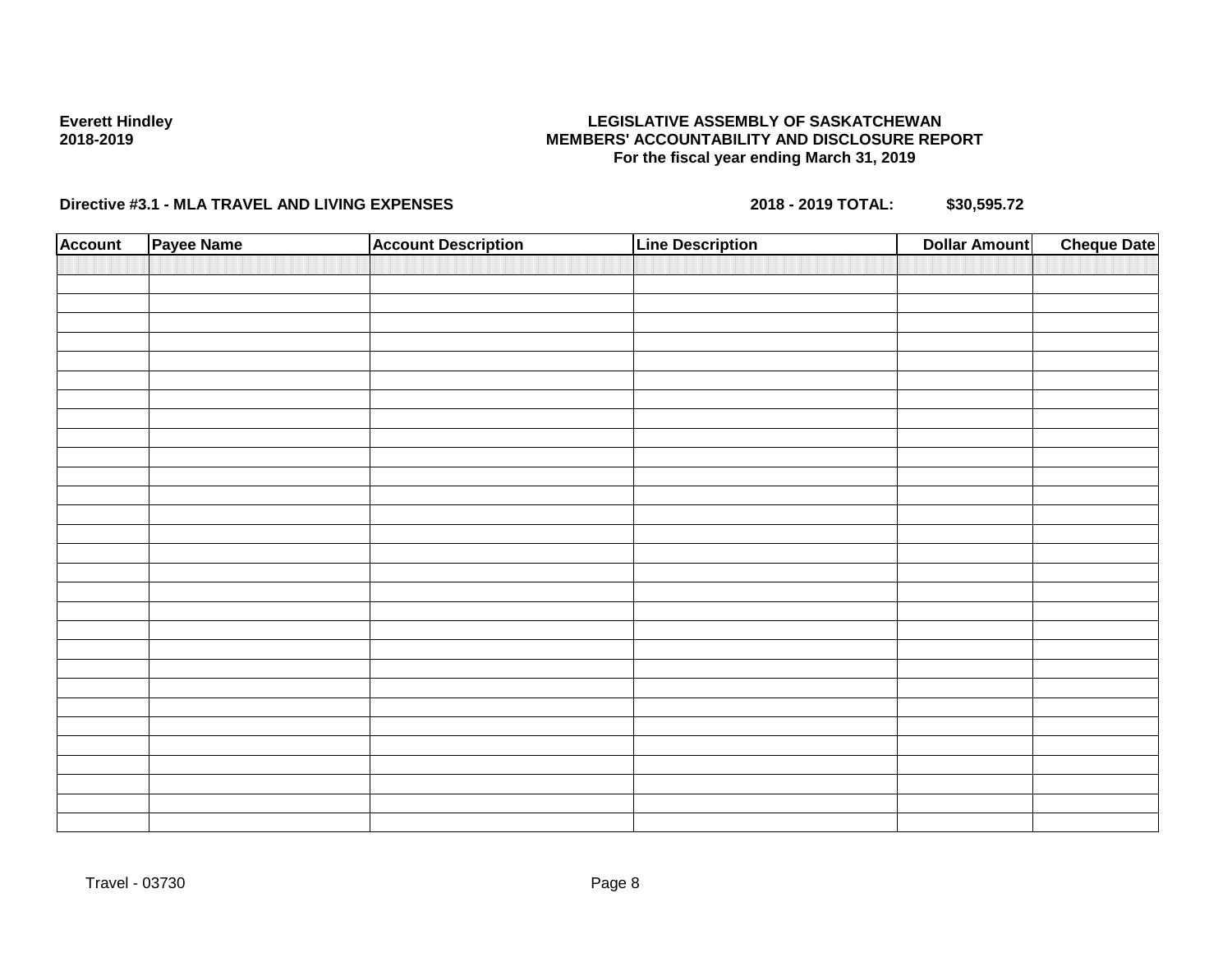## **LEGISLATIVE ASSEMBLY OF SASKATCHEWAN MEMBERS' ACCOUNTABILITY AND DISCLOSURE REPORT For the fiscal year ending March 31, 2019**

| <b>Account</b> | Payee Name | <b>Account Description</b> | <b>Line Description</b> | <b>Dollar Amount</b> | <b>Cheque Date</b> |
|----------------|------------|----------------------------|-------------------------|----------------------|--------------------|
|                |            |                            |                         |                      |                    |
|                |            |                            |                         |                      |                    |
|                |            |                            |                         |                      |                    |
|                |            |                            |                         |                      |                    |
|                |            |                            |                         |                      |                    |
|                |            |                            |                         |                      |                    |
|                |            |                            |                         |                      |                    |
|                |            |                            |                         |                      |                    |
|                |            |                            |                         |                      |                    |
|                |            |                            |                         |                      |                    |
|                |            |                            |                         |                      |                    |
|                |            |                            |                         |                      |                    |
|                |            |                            |                         |                      |                    |
|                |            |                            |                         |                      |                    |
|                |            |                            |                         |                      |                    |
|                |            |                            |                         |                      |                    |
|                |            |                            |                         |                      |                    |
|                |            |                            |                         |                      |                    |
|                |            |                            |                         |                      |                    |
|                |            |                            |                         |                      |                    |
|                |            |                            |                         |                      |                    |
|                |            |                            |                         |                      |                    |
|                |            |                            |                         |                      |                    |
|                |            |                            |                         |                      |                    |
|                |            |                            |                         |                      |                    |
|                |            |                            |                         |                      |                    |
|                |            |                            |                         |                      |                    |
|                |            |                            |                         |                      |                    |
|                |            |                            |                         |                      |                    |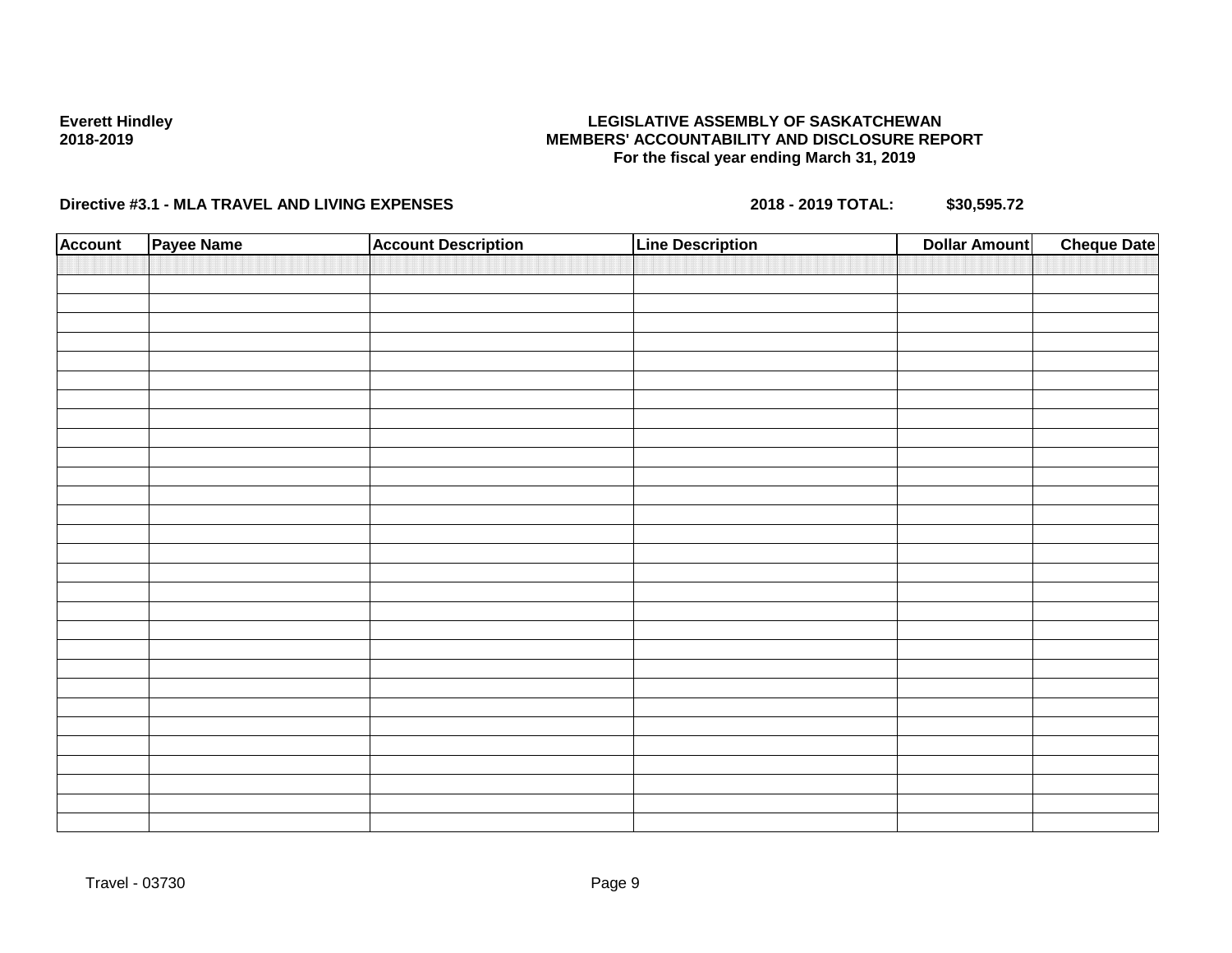## **LEGISLATIVE ASSEMBLY OF SASKATCHEWAN MEMBERS' ACCOUNTABILITY AND DISCLOSURE REPORT For the fiscal year ending March 31, 2019**

| <b>Account</b> | Payee Name | <b>Account Description</b> | <b>Line Description</b> | <b>Dollar Amount</b> | <b>Cheque Date</b> |
|----------------|------------|----------------------------|-------------------------|----------------------|--------------------|
|                |            |                            |                         |                      |                    |
|                |            |                            |                         |                      |                    |
|                |            |                            |                         |                      |                    |
|                |            |                            |                         |                      |                    |
|                |            |                            |                         |                      |                    |
|                |            |                            |                         |                      |                    |
|                |            |                            |                         |                      |                    |
|                |            |                            |                         |                      |                    |
|                |            |                            |                         |                      |                    |
|                |            |                            |                         |                      |                    |
|                |            |                            |                         |                      |                    |
|                |            |                            |                         |                      |                    |
|                |            |                            |                         |                      |                    |
|                |            |                            |                         |                      |                    |
|                |            |                            |                         |                      |                    |
|                |            |                            |                         |                      |                    |
|                |            |                            |                         |                      |                    |
|                |            |                            |                         |                      |                    |
|                |            |                            |                         |                      |                    |
|                |            |                            |                         |                      |                    |
|                |            |                            |                         |                      |                    |
|                |            |                            |                         |                      |                    |
|                |            |                            |                         |                      |                    |
|                |            |                            |                         |                      |                    |
|                |            |                            |                         |                      |                    |
|                |            |                            |                         |                      |                    |
|                |            |                            |                         |                      |                    |
|                |            |                            |                         |                      |                    |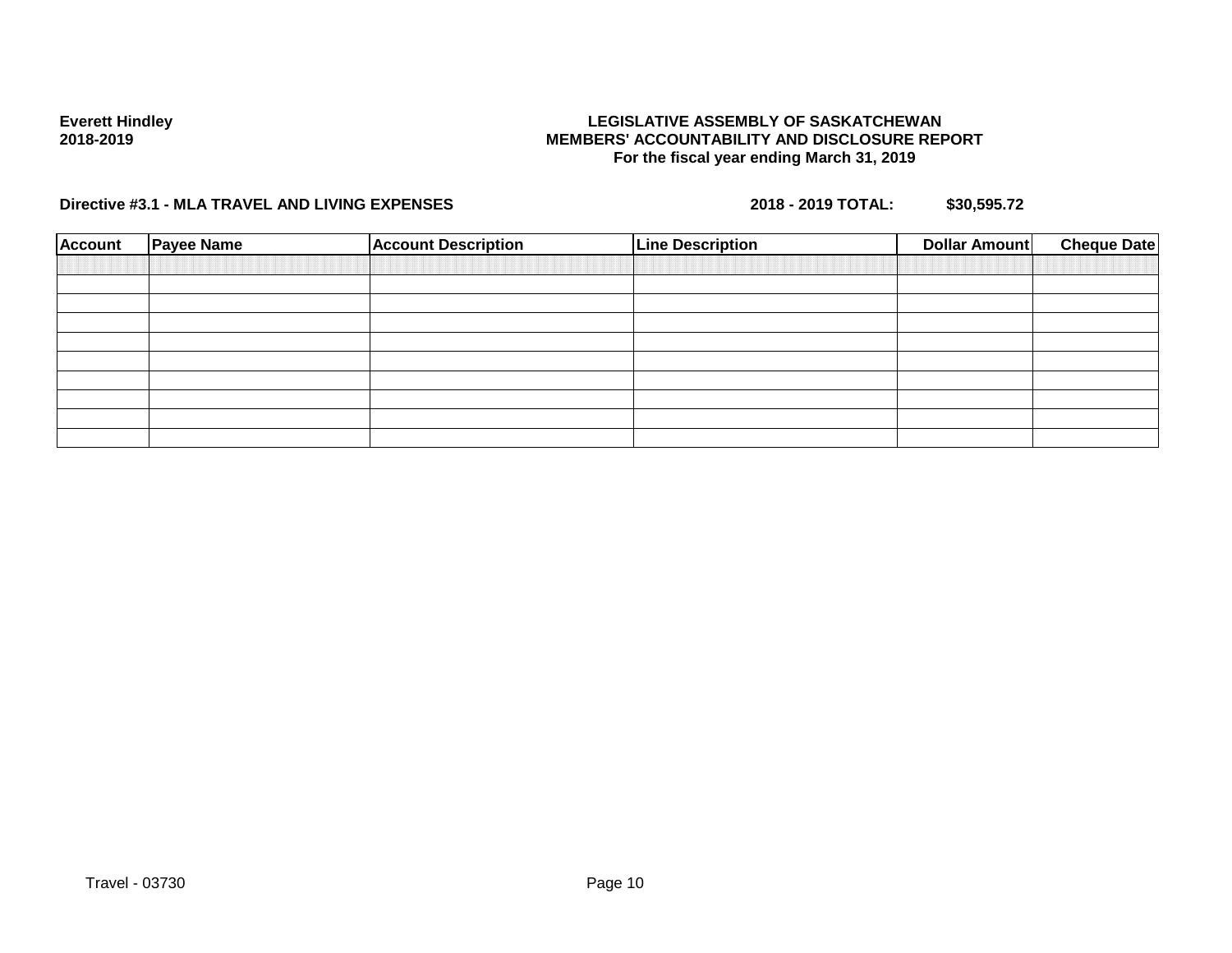## **LEGISLATIVE ASSEMBLY OF SASKATCHEWAN MEMBERS' ACCOUNTABILITY AND DISCLOSURE REPORT For the fiscal year ending March 31, 2019**

| <b>Account</b> | <b>Payee Name</b> | <b>Account Description</b> | <b>Line Description</b> | <b>Dollar Amount</b> | <b>Cheque Date</b> |
|----------------|-------------------|----------------------------|-------------------------|----------------------|--------------------|
|                |                   |                            |                         |                      |                    |
|                |                   |                            |                         |                      |                    |
|                |                   |                            |                         |                      |                    |
|                |                   |                            |                         |                      |                    |
|                |                   |                            |                         |                      |                    |
|                |                   |                            |                         |                      |                    |
|                |                   |                            |                         |                      |                    |
|                |                   |                            |                         |                      |                    |
|                |                   |                            |                         |                      |                    |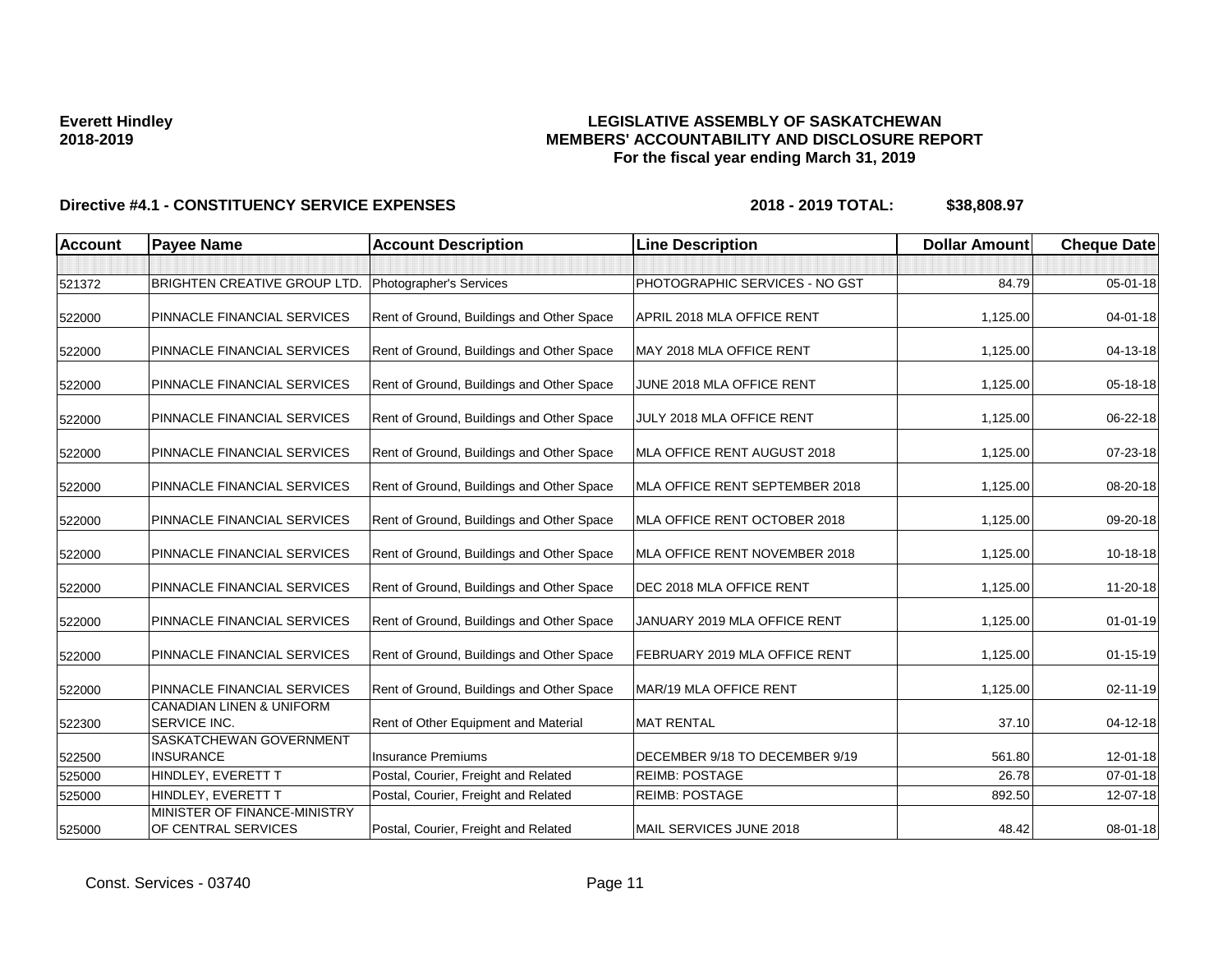## **LEGISLATIVE ASSEMBLY OF SASKATCHEWAN MEMBERS' ACCOUNTABILITY AND DISCLOSURE REPORT For the fiscal year ending March 31, 2019**

| <b>Account</b> | <b>Payee Name</b>                                   | <b>Account Description</b>                | <b>Line Description</b>        | <b>Dollar Amount</b> | <b>Cheque Date</b> |
|----------------|-----------------------------------------------------|-------------------------------------------|--------------------------------|----------------------|--------------------|
|                |                                                     |                                           |                                |                      |                    |
| 521372         | <b>BRIGHTEN CREATIVE GROUP LTD.</b>                 | Photographer's Services                   | PHOTOGRAPHIC SERVICES - NO GST | 84.79                | $05 - 01 - 18$     |
| 522000         | PINNACLE FINANCIAL SERVICES                         | Rent of Ground, Buildings and Other Space | APRIL 2018 MLA OFFICE RENT     | 1,125.00             | $04 - 01 - 18$     |
| 522000         | PINNACLE FINANCIAL SERVICES                         | Rent of Ground, Buildings and Other Space | MAY 2018 MLA OFFICE RENT       | 1,125.00             | 04-13-18           |
| 522000         | PINNACLE FINANCIAL SERVICES                         | Rent of Ground, Buildings and Other Space | JUNE 2018 MLA OFFICE RENT      | 1,125.00             | 05-18-18           |
| 522000         | PINNACLE FINANCIAL SERVICES                         | Rent of Ground, Buildings and Other Space | JULY 2018 MLA OFFICE RENT      | 1,125.00             | 06-22-18           |
| 522000         | PINNACLE FINANCIAL SERVICES                         | Rent of Ground, Buildings and Other Space | MLA OFFICE RENT AUGUST 2018    | 1,125.00             | 07-23-18           |
| 522000         | PINNACLE FINANCIAL SERVICES                         | Rent of Ground, Buildings and Other Space | MLA OFFICE RENT SEPTEMBER 2018 | 1,125.00             | 08-20-18           |
| 522000         | PINNACLE FINANCIAL SERVICES                         | Rent of Ground, Buildings and Other Space | MLA OFFICE RENT OCTOBER 2018   | 1,125.00             | 09-20-18           |
| 522000         | PINNACLE FINANCIAL SERVICES                         | Rent of Ground, Buildings and Other Space | MLA OFFICE RENT NOVEMBER 2018  | 1,125.00             | 10-18-18           |
| 522000         | PINNACLE FINANCIAL SERVICES                         | Rent of Ground, Buildings and Other Space | DEC 2018 MLA OFFICE RENT       | 1,125.00             | 11-20-18           |
| 522000         | PINNACLE FINANCIAL SERVICES                         | Rent of Ground, Buildings and Other Space | JANUARY 2019 MLA OFFICE RENT   | 1,125.00             | $01 - 01 - 19$     |
| 522000         | PINNACLE FINANCIAL SERVICES                         | Rent of Ground, Buildings and Other Space | FEBRUARY 2019 MLA OFFICE RENT  | 1,125.00             | $01 - 15 - 19$     |
| 522000         | PINNACLE FINANCIAL SERVICES                         | Rent of Ground, Buildings and Other Space | MAR/19 MLA OFFICE RENT         | 1,125.00             | $02 - 11 - 19$     |
| 522300         | <b>CANADIAN LINEN &amp; UNIFORM</b><br>SERVICE INC. | Rent of Other Equipment and Material      | <b>MAT RENTAL</b>              | 37.10                | $04 - 12 - 18$     |
| 522500         | SASKATCHEWAN GOVERNMENT<br><b>INSURANCE</b>         | <b>Insurance Premiums</b>                 | DECEMBER 9/18 TO DECEMBER 9/19 | 561.80               | $12 - 01 - 18$     |
| 525000         | HINDLEY, EVERETT T                                  | Postal, Courier, Freight and Related      | <b>REIMB: POSTAGE</b>          | 26.78                | $07 - 01 - 18$     |
| 525000         | HINDLEY, EVERETT T                                  | Postal, Courier, Freight and Related      | <b>REIMB: POSTAGE</b>          | 892.50               | 12-07-18           |
| 525000         | MINISTER OF FINANCE-MINISTRY<br>OF CENTRAL SERVICES | Postal, Courier, Freight and Related      | MAIL SERVICES JUNE 2018        | 48.42                | 08-01-18           |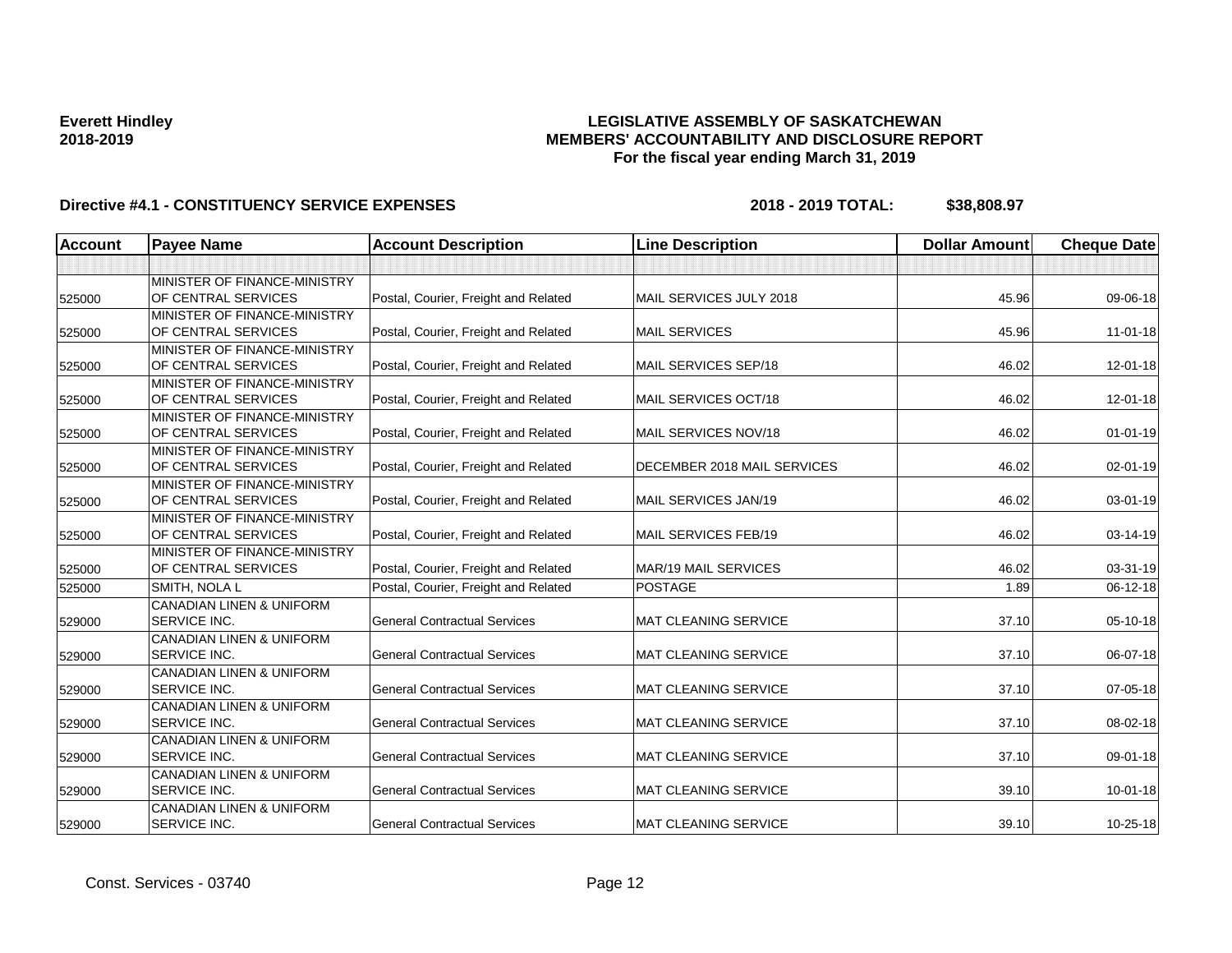## **LEGISLATIVE ASSEMBLY OF SASKATCHEWAN MEMBERS' ACCOUNTABILITY AND DISCLOSURE REPORT For the fiscal year ending March 31, 2019**

| <b>Account</b> | <b>Payee Name</b>                   | <b>Account Description</b>           | <b>Line Description</b>             | <b>Dollar Amount</b> | <b>Cheque Date</b> |
|----------------|-------------------------------------|--------------------------------------|-------------------------------------|----------------------|--------------------|
|                |                                     |                                      |                                     |                      |                    |
|                | MINISTER OF FINANCE-MINISTRY        |                                      |                                     |                      |                    |
| 525000         | OF CENTRAL SERVICES                 | Postal, Courier, Freight and Related | MAIL SERVICES JULY 2018             | 45.96                | 09-06-18           |
|                | MINISTER OF FINANCE-MINISTRY        |                                      |                                     |                      |                    |
| 525000         | OF CENTRAL SERVICES                 | Postal, Courier, Freight and Related | <b>MAIL SERVICES</b>                | 45.96                | $11 - 01 - 18$     |
|                | MINISTER OF FINANCE-MINISTRY        |                                      |                                     |                      |                    |
| 525000         | OF CENTRAL SERVICES                 | Postal, Courier, Freight and Related | MAIL SERVICES SEP/18                | 46.02                | 12-01-18           |
|                | MINISTER OF FINANCE-MINISTRY        |                                      |                                     |                      |                    |
| 525000         | OF CENTRAL SERVICES                 | Postal, Courier, Freight and Related | MAIL SERVICES OCT/18                | 46.02                | 12-01-18           |
|                | MINISTER OF FINANCE-MINISTRY        |                                      |                                     |                      |                    |
| 525000         | OF CENTRAL SERVICES                 | Postal, Courier, Freight and Related | MAIL SERVICES NOV/18                | 46.02                | $01 - 01 - 19$     |
|                | MINISTER OF FINANCE-MINISTRY        |                                      |                                     |                      |                    |
| 525000         | OF CENTRAL SERVICES                 | Postal, Courier, Freight and Related | <b>IDECEMBER 2018 MAIL SERVICES</b> | 46.02                | 02-01-19           |
|                | MINISTER OF FINANCE-MINISTRY        |                                      |                                     |                      |                    |
| 525000         | OF CENTRAL SERVICES                 | Postal, Courier, Freight and Related | MAIL SERVICES JAN/19                | 46.02                | $03 - 01 - 19$     |
|                | MINISTER OF FINANCE-MINISTRY        |                                      |                                     |                      |                    |
| 525000         | OF CENTRAL SERVICES                 | Postal, Courier, Freight and Related | MAIL SERVICES FEB/19                | 46.02                | 03-14-19           |
|                | MINISTER OF FINANCE-MINISTRY        |                                      |                                     |                      |                    |
| 525000         | OF CENTRAL SERVICES                 | Postal, Courier, Freight and Related | <b>MAR/19 MAIL SERVICES</b>         | 46.02                | 03-31-19           |
| 525000         | SMITH, NOLA L                       | Postal, Courier, Freight and Related | <b>POSTAGE</b>                      | 1.89                 | 06-12-18           |
|                | <b>CANADIAN LINEN &amp; UNIFORM</b> |                                      |                                     |                      |                    |
| 529000         | <b>SERVICE INC.</b>                 | <b>General Contractual Services</b>  | <b>MAT CLEANING SERVICE</b>         | 37.10                | 05-10-18           |
|                | <b>CANADIAN LINEN &amp; UNIFORM</b> |                                      |                                     |                      |                    |
| 529000         | <b>SERVICE INC.</b>                 | <b>General Contractual Services</b>  | <b>MAT CLEANING SERVICE</b>         | 37.10                | 06-07-18           |
|                | <b>CANADIAN LINEN &amp; UNIFORM</b> |                                      |                                     |                      |                    |
| 529000         | <b>SERVICE INC.</b>                 | <b>General Contractual Services</b>  | <b>MAT CLEANING SERVICE</b>         | 37.10                | 07-05-18           |
|                | <b>CANADIAN LINEN &amp; UNIFORM</b> |                                      |                                     |                      |                    |
| 529000         | <b>SERVICE INC.</b>                 | <b>General Contractual Services</b>  | <b>MAT CLEANING SERVICE</b>         | 37.10                | 08-02-18           |
|                | <b>CANADIAN LINEN &amp; UNIFORM</b> |                                      |                                     |                      |                    |
| 529000         | <b>SERVICE INC.</b>                 | <b>General Contractual Services</b>  | <b>MAT CLEANING SERVICE</b>         | 37.10                | 09-01-18           |
|                | <b>CANADIAN LINEN &amp; UNIFORM</b> |                                      |                                     |                      |                    |
| 529000         | <b>SERVICE INC.</b>                 | <b>General Contractual Services</b>  | <b>MAT CLEANING SERVICE</b>         | 39.10                | $10 - 01 - 18$     |
|                | <b>CANADIAN LINEN &amp; UNIFORM</b> |                                      |                                     |                      |                    |
| 529000         | <b>SERVICE INC.</b>                 | <b>General Contractual Services</b>  | <b>MAT CLEANING SERVICE</b>         | 39.10                | 10-25-18           |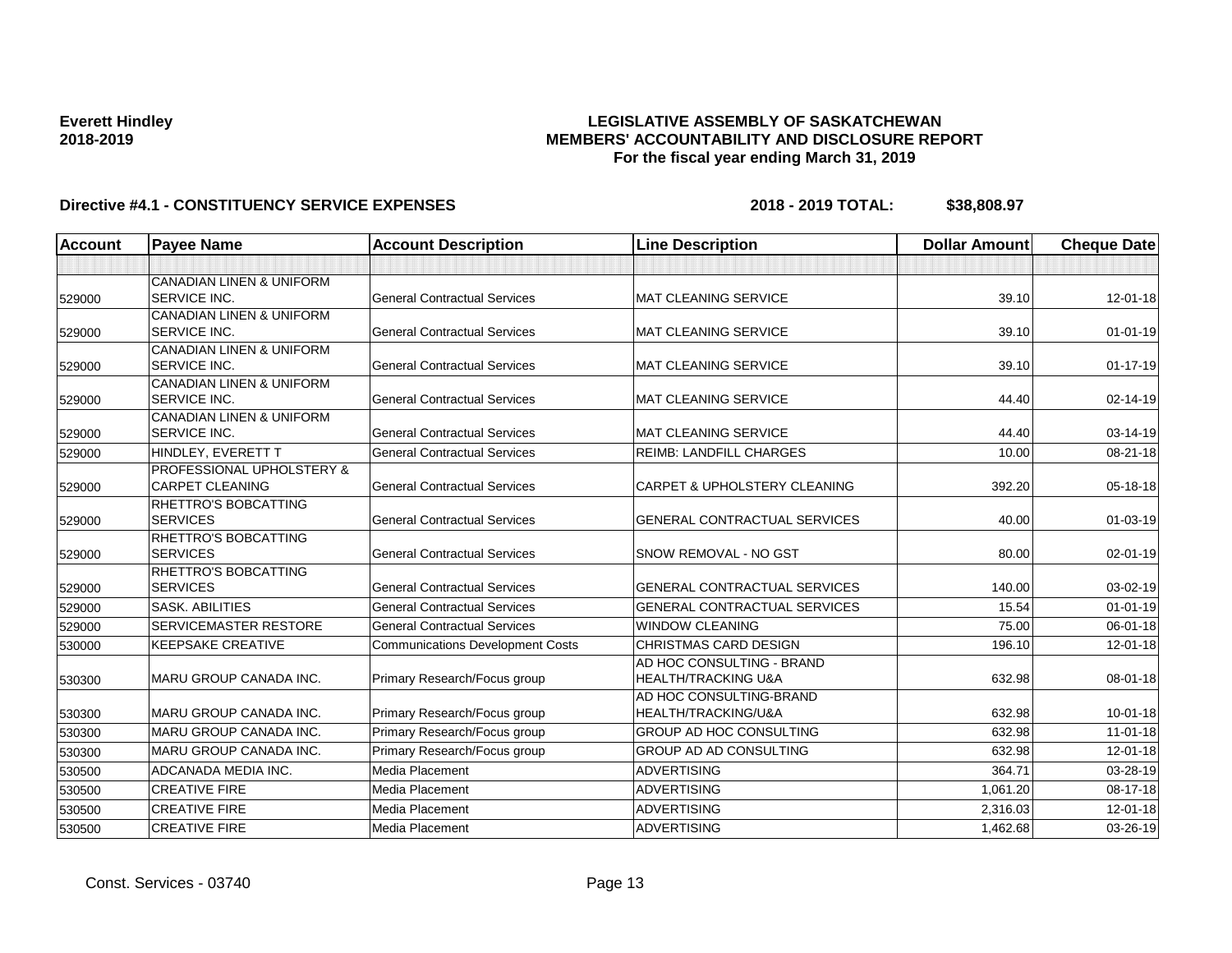## **LEGISLATIVE ASSEMBLY OF SASKATCHEWAN MEMBERS' ACCOUNTABILITY AND DISCLOSURE REPORT For the fiscal year ending March 31, 2019**

| <b>Account</b> | <b>Payee Name</b>                                          | <b>Account Description</b>              | <b>Line Description</b>                 | <b>Dollar Amount</b> | <b>Cheque Date</b> |
|----------------|------------------------------------------------------------|-----------------------------------------|-----------------------------------------|----------------------|--------------------|
|                |                                                            |                                         |                                         |                      |                    |
|                | <b>CANADIAN LINEN &amp; UNIFORM</b>                        |                                         |                                         |                      |                    |
| 529000         | <b>SERVICE INC.</b>                                        | <b>General Contractual Services</b>     | <b>MAT CLEANING SERVICE</b>             | 39.10                | $12 - 01 - 18$     |
|                | <b>CANADIAN LINEN &amp; UNIFORM</b>                        |                                         |                                         |                      |                    |
| 529000         | <b>SERVICE INC.</b>                                        | <b>General Contractual Services</b>     | <b>MAT CLEANING SERVICE</b>             | 39.10                | $01 - 01 - 19$     |
|                | CANADIAN LINEN & UNIFORM                                   |                                         |                                         |                      |                    |
| 529000         | <b>SERVICE INC.</b>                                        | <b>General Contractual Services</b>     | MAT CLEANING SERVICE                    | 39.10                | $01 - 17 - 19$     |
|                | <b>CANADIAN LINEN &amp; UNIFORM</b><br><b>SERVICE INC.</b> | <b>General Contractual Services</b>     | <b>MAT CLEANING SERVICE</b>             | 44.40                |                    |
| 529000         | <b>CANADIAN LINEN &amp; UNIFORM</b>                        |                                         |                                         |                      | 02-14-19           |
| 529000         | <b>SERVICE INC.</b>                                        | <b>General Contractual Services</b>     | <b>MAT CLEANING SERVICE</b>             | 44.40                | 03-14-19           |
| 529000         | HINDLEY, EVERETT T                                         | <b>General Contractual Services</b>     | <b>REIMB: LANDFILL CHARGES</b>          | 10.00                | 08-21-18           |
|                | <b>PROFESSIONAL UPHOLSTERY &amp;</b>                       |                                         |                                         |                      |                    |
| 529000         | <b>CARPET CLEANING</b>                                     | <b>General Contractual Services</b>     | <b>CARPET &amp; UPHOLSTERY CLEANING</b> | 392.20               | $05 - 18 - 18$     |
|                | <b>RHETTRO'S BOBCATTING</b>                                |                                         |                                         |                      |                    |
| 529000         | <b>SERVICES</b>                                            | <b>General Contractual Services</b>     | <b>GENERAL CONTRACTUAL SERVICES</b>     | 40.00                | $01 - 03 - 19$     |
|                | <b>RHETTRO'S BOBCATTING</b>                                |                                         |                                         |                      |                    |
| 529000         | <b>SERVICES</b>                                            | <b>General Contractual Services</b>     | <b>SNOW REMOVAL - NO GST</b>            | 80.00                | 02-01-19           |
|                | <b>RHETTRO'S BOBCATTING</b>                                |                                         |                                         |                      |                    |
| 529000         | <b>SERVICES</b>                                            | <b>General Contractual Services</b>     | <b>GENERAL CONTRACTUAL SERVICES</b>     | 140.00               | 03-02-19           |
| 529000         | <b>SASK, ABILITIES</b>                                     | <b>General Contractual Services</b>     | <b>GENERAL CONTRACTUAL SERVICES</b>     | 15.54                | $01 - 01 - 19$     |
| 529000         | <b>SERVICEMASTER RESTORE</b>                               | <b>General Contractual Services</b>     | <b>WINDOW CLEANING</b>                  | 75.00                | 06-01-18           |
| 530000         | <b>KEEPSAKE CREATIVE</b>                                   | <b>Communications Development Costs</b> | <b>CHRISTMAS CARD DESIGN</b>            | 196.10               | 12-01-18           |
|                |                                                            |                                         | AD HOC CONSULTING - BRAND               |                      |                    |
| 530300         | <b>MARU GROUP CANADA INC.</b>                              | Primary Research/Focus group            | <b>HEALTH/TRACKING U&amp;A</b>          | 632.98               | 08-01-18           |
|                |                                                            |                                         | AD HOC CONSULTING-BRAND                 |                      |                    |
| 530300         | MARU GROUP CANADA INC.                                     | Primary Research/Focus group            | HEALTH/TRACKING/U&A                     | 632.98               | $10 - 01 - 18$     |
| 530300         | MARU GROUP CANADA INC.                                     | Primary Research/Focus group            | GROUP AD HOC CONSULTING                 | 632.98               | $11-01-18$         |
| 530300         | <b>MARU GROUP CANADA INC.</b>                              | Primary Research/Focus group            | <b>GROUP AD AD CONSULTING</b>           | 632.98               | $12 - 01 - 18$     |
| 530500         | <b>ADCANADA MEDIA INC.</b>                                 | Media Placement                         | <b>ADVERTISING</b>                      | 364.71               | 03-28-19           |
| 530500         | <b>CREATIVE FIRE</b>                                       | Media Placement                         | ADVERTISING                             | 1,061.20             | 08-17-18           |
| 530500         | <b>CREATIVE FIRE</b>                                       | Media Placement                         | <b>ADVERTISING</b>                      | 2,316.03             | $12 - 01 - 18$     |
| 530500         | <b>CREATIVE FIRE</b>                                       | Media Placement                         | <b>ADVERTISING</b>                      | 1,462.68             | 03-26-19           |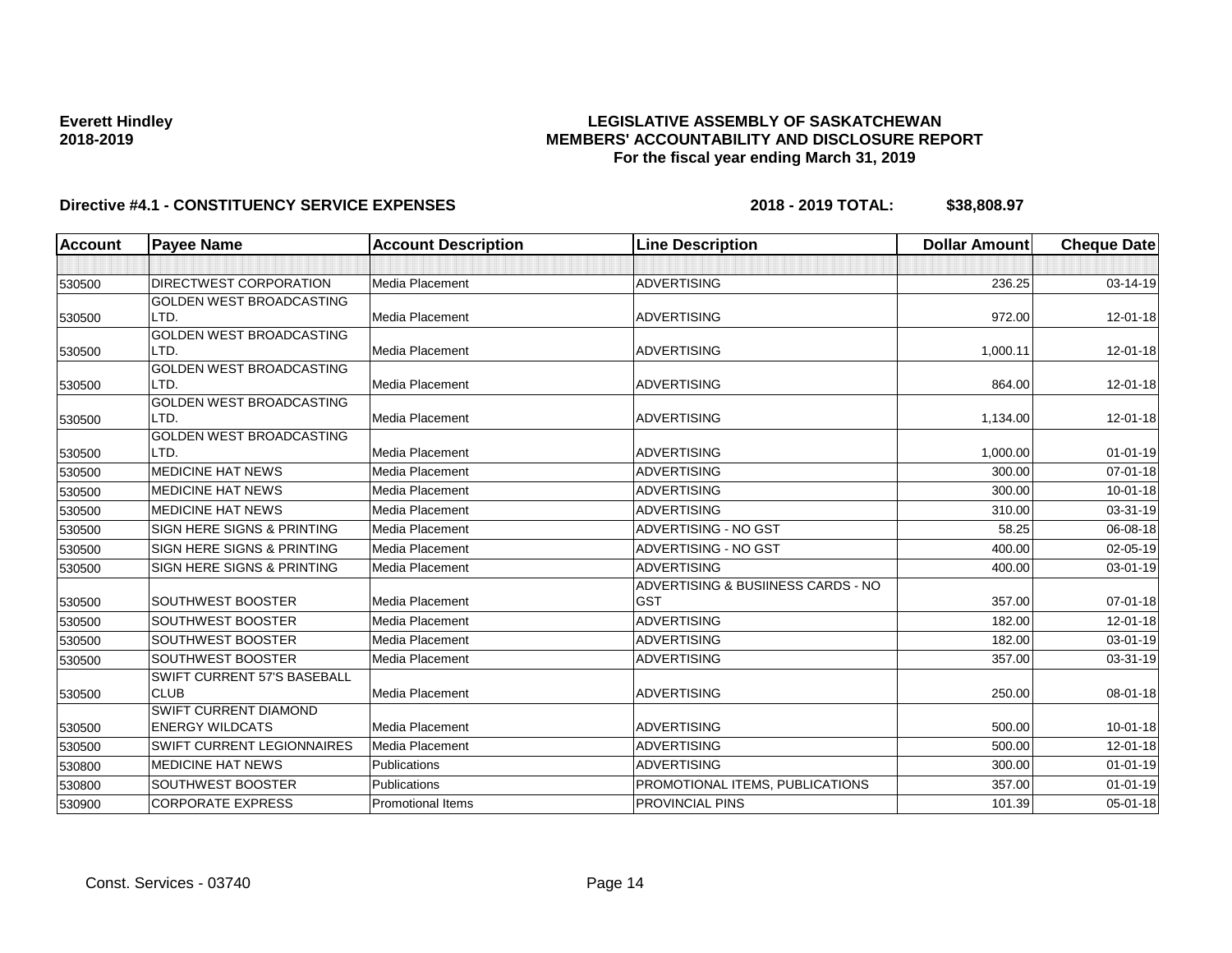## **LEGISLATIVE ASSEMBLY OF SASKATCHEWAN MEMBERS' ACCOUNTABILITY AND DISCLOSURE REPORT For the fiscal year ending March 31, 2019**

| Account | <b>Payee Name</b>                       | <b>Account Description</b> | <b>Line Description</b>            | <b>Dollar Amount</b> | <b>Cheque Date</b> |
|---------|-----------------------------------------|----------------------------|------------------------------------|----------------------|--------------------|
|         |                                         |                            |                                    |                      |                    |
| 530500  | <b>DIRECTWEST CORPORATION</b>           | <b>Media Placement</b>     | <b>ADVERTISING</b>                 | 236.25               | 03-14-19           |
|         | <b>GOLDEN WEST BROADCASTING</b>         |                            |                                    |                      |                    |
| 530500  | LTD.                                    | Media Placement            | <b>ADVERTISING</b>                 | 972.00               | 12-01-18           |
|         | <b>GOLDEN WEST BROADCASTING</b>         |                            |                                    |                      |                    |
| 530500  | LTD.                                    | Media Placement            | <b>ADVERTISING</b>                 | 1,000.11             | 12-01-18           |
|         | <b>GOLDEN WEST BROADCASTING</b>         |                            |                                    |                      |                    |
| 530500  | LTD.                                    | Media Placement            | <b>ADVERTISING</b>                 | 864.00               | 12-01-18           |
|         | <b>GOLDEN WEST BROADCASTING</b>         |                            |                                    |                      |                    |
| 530500  | LTD.                                    | Media Placement            | <b>ADVERTISING</b>                 | 1,134.00             | 12-01-18           |
|         | <b>GOLDEN WEST BROADCASTING</b><br>LTD. | Media Placement            | <b>ADVERTISING</b>                 | 1,000.00             |                    |
| 530500  |                                         |                            |                                    |                      | $01 - 01 - 19$     |
| 530500  | <b>MEDICINE HAT NEWS</b>                | Media Placement            | <b>ADVERTISING</b>                 | 300.00               | $07 - 01 - 18$     |
| 530500  | <b>MEDICINE HAT NEWS</b>                | Media Placement            | <b>ADVERTISING</b>                 | 300.00               | $10 - 01 - 18$     |
| 530500  | <b>MEDICINE HAT NEWS</b>                | <b>Media Placement</b>     | <b>ADVERTISING</b>                 | 310.00               | 03-31-19           |
| 530500  | SIGN HERE SIGNS & PRINTING              | Media Placement            | ADVERTISING - NO GST               | 58.25                | 06-08-18           |
| 530500  | <b>SIGN HERE SIGNS &amp; PRINTING</b>   | Media Placement            | <b>ADVERTISING - NO GST</b>        | 400.00               | $02 - 05 - 19$     |
| 530500  | SIGN HERE SIGNS & PRINTING              | Media Placement            | <b>ADVERTISING</b>                 | 400.00               | 03-01-19           |
|         |                                         |                            | ADVERTISING & BUSIINESS CARDS - NO |                      |                    |
| 530500  | <b>SOUTHWEST BOOSTER</b>                | Media Placement            | <b>GST</b>                         | 357.00               | 07-01-18           |
| 530500  | <b>SOUTHWEST BOOSTER</b>                | Media Placement            | <b>ADVERTISING</b>                 | 182.00               | 12-01-18           |
| 530500  | <b>SOUTHWEST BOOSTER</b>                | Media Placement            | <b>ADVERTISING</b>                 | 182.00               | 03-01-19           |
| 530500  | <b>SOUTHWEST BOOSTER</b>                | Media Placement            | <b>ADVERTISING</b>                 | 357.00               | 03-31-19           |
|         | SWIFT CURRENT 57'S BASEBALL             |                            |                                    |                      |                    |
| 530500  | <b>CLUB</b>                             | Media Placement            | <b>ADVERTISING</b>                 | 250.00               | 08-01-18           |
|         | <b>SWIFT CURRENT DIAMOND</b>            |                            |                                    |                      |                    |
| 530500  | <b>ENERGY WILDCATS</b>                  | <b>Media Placement</b>     | <b>ADVERTISING</b>                 | 500.00               | $10 - 01 - 18$     |
| 530500  | <b>SWIFT CURRENT LEGIONNAIRES</b>       | Media Placement            | <b>ADVERTISING</b>                 | 500.00               | $12 - 01 - 18$     |
| 530800  | <b>MEDICINE HAT NEWS</b>                | Publications               | <b>ADVERTISING</b>                 | 300.00               | $01 - 01 - 19$     |
| 530800  | <b>SOUTHWEST BOOSTER</b>                | Publications               | PROMOTIONAL ITEMS, PUBLICATIONS    | 357.00               | $01 - 01 - 19$     |
| 530900  | <b>CORPORATE EXPRESS</b>                | <b>Promotional Items</b>   | PROVINCIAL PINS                    | 101.39               | 05-01-18           |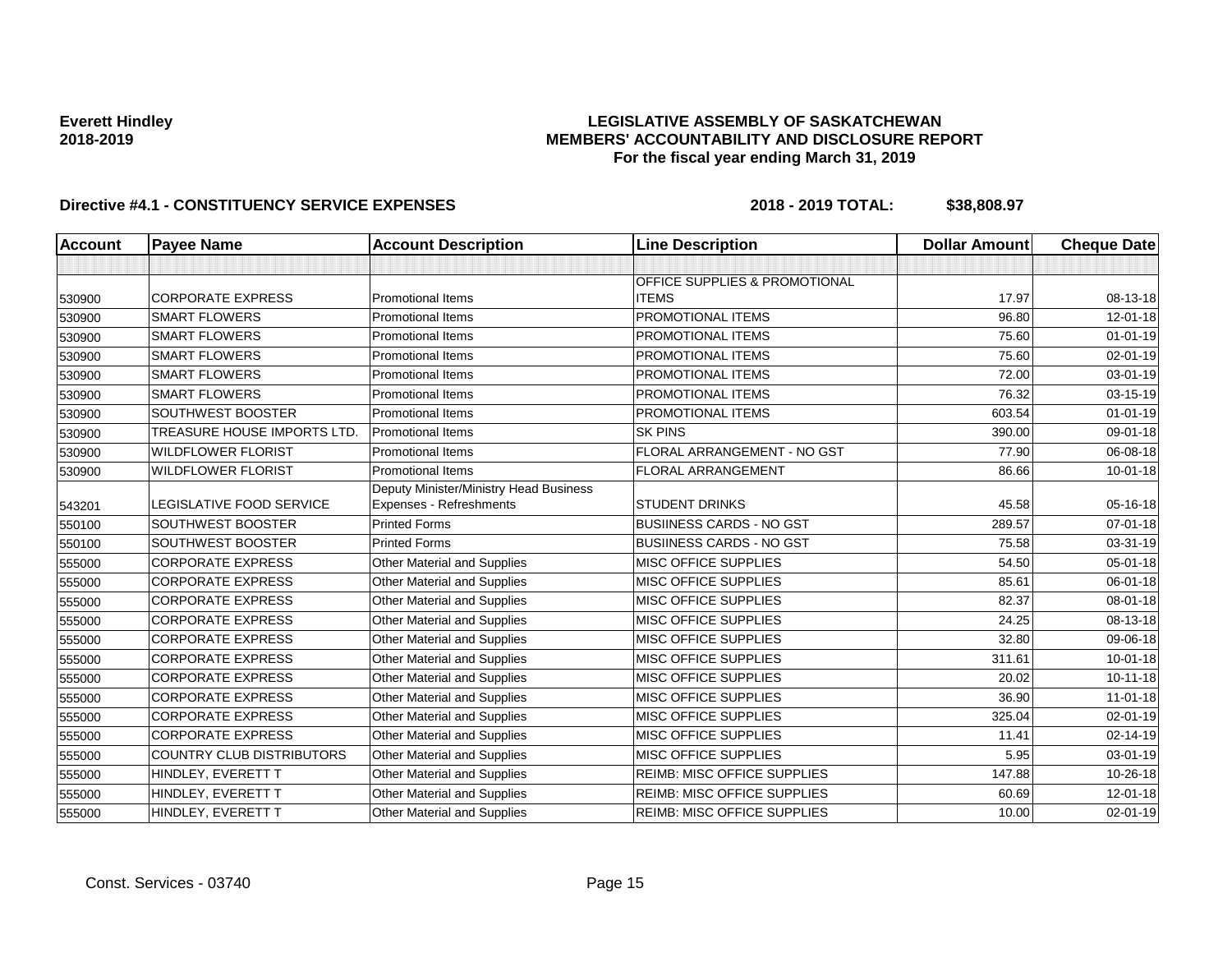## **LEGISLATIVE ASSEMBLY OF SASKATCHEWAN MEMBERS' ACCOUNTABILITY AND DISCLOSURE REPORT For the fiscal year ending March 31, 2019**

| <b>Account</b> | <b>Payee Name</b>                | <b>Account Description</b>                                        | <b>Line Description</b>                  | <b>Dollar Amount</b> | <b>Cheque Date</b> |
|----------------|----------------------------------|-------------------------------------------------------------------|------------------------------------------|----------------------|--------------------|
|                |                                  |                                                                   |                                          |                      |                    |
|                |                                  |                                                                   | <b>OFFICE SUPPLIES &amp; PROMOTIONAL</b> |                      |                    |
| 530900         | <b>CORPORATE EXPRESS</b>         | <b>Promotional Items</b>                                          | <b>ITEMS</b>                             | 17.97                | 08-13-18           |
| 530900         | <b>SMART FLOWERS</b>             | <b>Promotional Items</b>                                          | PROMOTIONAL ITEMS                        | 96.80                | $12 - 01 - 18$     |
| 530900         | <b>SMART FLOWERS</b>             | <b>Promotional Items</b>                                          | PROMOTIONAL ITEMS                        | 75.60                | $01 - 01 - 19$     |
| 530900         | <b>SMART FLOWERS</b>             | <b>Promotional Items</b>                                          | PROMOTIONAL ITEMS                        | 75.60                | 02-01-19           |
| 530900         | <b>SMART FLOWERS</b>             | <b>Promotional Items</b>                                          | PROMOTIONAL ITEMS                        | 72.00                | 03-01-19           |
| 530900         | <b>SMART FLOWERS</b>             | <b>Promotional Items</b>                                          | PROMOTIONAL ITEMS                        | 76.32                | 03-15-19           |
| 530900         | SOUTHWEST BOOSTER                | <b>Promotional Items</b>                                          | PROMOTIONAL ITEMS                        | 603.54               | $01 - 01 - 19$     |
| 530900         | TREASURE HOUSE IMPORTS LTD       | <b>Promotional Items</b>                                          | <b>SK PINS</b>                           | 390.00               | 09-01-18           |
| 530900         | <b>WILDFLOWER FLORIST</b>        | <b>Promotional Items</b>                                          | FLORAL ARRANGEMENT - NO GST              | 77.90                | 06-08-18           |
| 530900         | <b>WILDFLOWER FLORIST</b>        | <b>Promotional Items</b>                                          | FLORAL ARRANGEMENT                       | 86.66                | $10 - 01 - 18$     |
|                | <b>LEGISLATIVE FOOD SERVICE</b>  | Deputy Minister/Ministry Head Business<br>Expenses - Refreshments | <b>STUDENT DRINKS</b>                    | 45.58                | 05-16-18           |
| 543201         | <b>SOUTHWEST BOOSTER</b>         | <b>Printed Forms</b>                                              | <b>BUSIINESS CARDS - NO GST</b>          | 289.57               | $07 - 01 - 18$     |
| 550100         | SOUTHWEST BOOSTER                | <b>Printed Forms</b>                                              | <b>BUSIINESS CARDS - NO GST</b>          | 75.58                |                    |
| 550100         |                                  |                                                                   |                                          |                      | 03-31-19           |
| 555000         | <b>CORPORATE EXPRESS</b>         | Other Material and Supplies                                       | MISC OFFICE SUPPLIES                     | 54.50                | $05 - 01 - 18$     |
| 555000         | <b>CORPORATE EXPRESS</b>         | Other Material and Supplies                                       | <b>MISC OFFICE SUPPLIES</b>              | 85.61                | 06-01-18           |
| 555000         | <b>CORPORATE EXPRESS</b>         | Other Material and Supplies                                       | <b>MISC OFFICE SUPPLIES</b>              | 82.37                | 08-01-18           |
| 555000         | <b>CORPORATE EXPRESS</b>         | Other Material and Supplies                                       | <b>MISC OFFICE SUPPLIES</b>              | 24.25                | 08-13-18           |
| 555000         | <b>CORPORATE EXPRESS</b>         | Other Material and Supplies                                       | MISC OFFICE SUPPLIES                     | 32.80                | 09-06-18           |
| 555000         | <b>CORPORATE EXPRESS</b>         | Other Material and Supplies                                       | MISC OFFICE SUPPLIES                     | 311.61               | $10 - 01 - 18$     |
| 555000         | <b>CORPORATE EXPRESS</b>         | Other Material and Supplies                                       | <b>MISC OFFICE SUPPLIES</b>              | 20.02                | $10 - 11 - 18$     |
| 555000         | <b>CORPORATE EXPRESS</b>         | Other Material and Supplies                                       | <b>MISC OFFICE SUPPLIES</b>              | 36.90                | $11 - 01 - 18$     |
| 555000         | <b>CORPORATE EXPRESS</b>         | Other Material and Supplies                                       | MISC OFFICE SUPPLIES                     | 325.04               | 02-01-19           |
| 555000         | <b>CORPORATE EXPRESS</b>         | Other Material and Supplies                                       | MISC OFFICE SUPPLIES                     | 11.41                | 02-14-19           |
| 555000         | <b>COUNTRY CLUB DISTRIBUTORS</b> | Other Material and Supplies                                       | <b>MISC OFFICE SUPPLIES</b>              | 5.95                 | 03-01-19           |
| 555000         | HINDLEY, EVERETT T               | Other Material and Supplies                                       | REIMB: MISC OFFICE SUPPLIES              | 147.88               | 10-26-18           |
| 555000         | HINDLEY, EVERETT T               | Other Material and Supplies                                       | <b>REIMB: MISC OFFICE SUPPLIES</b>       | 60.69                | 12-01-18           |
| 555000         | HINDLEY, EVERETT T               | Other Material and Supplies                                       | <b>REIMB: MISC OFFICE SUPPLIES</b>       | 10.00                | $02 - 01 - 19$     |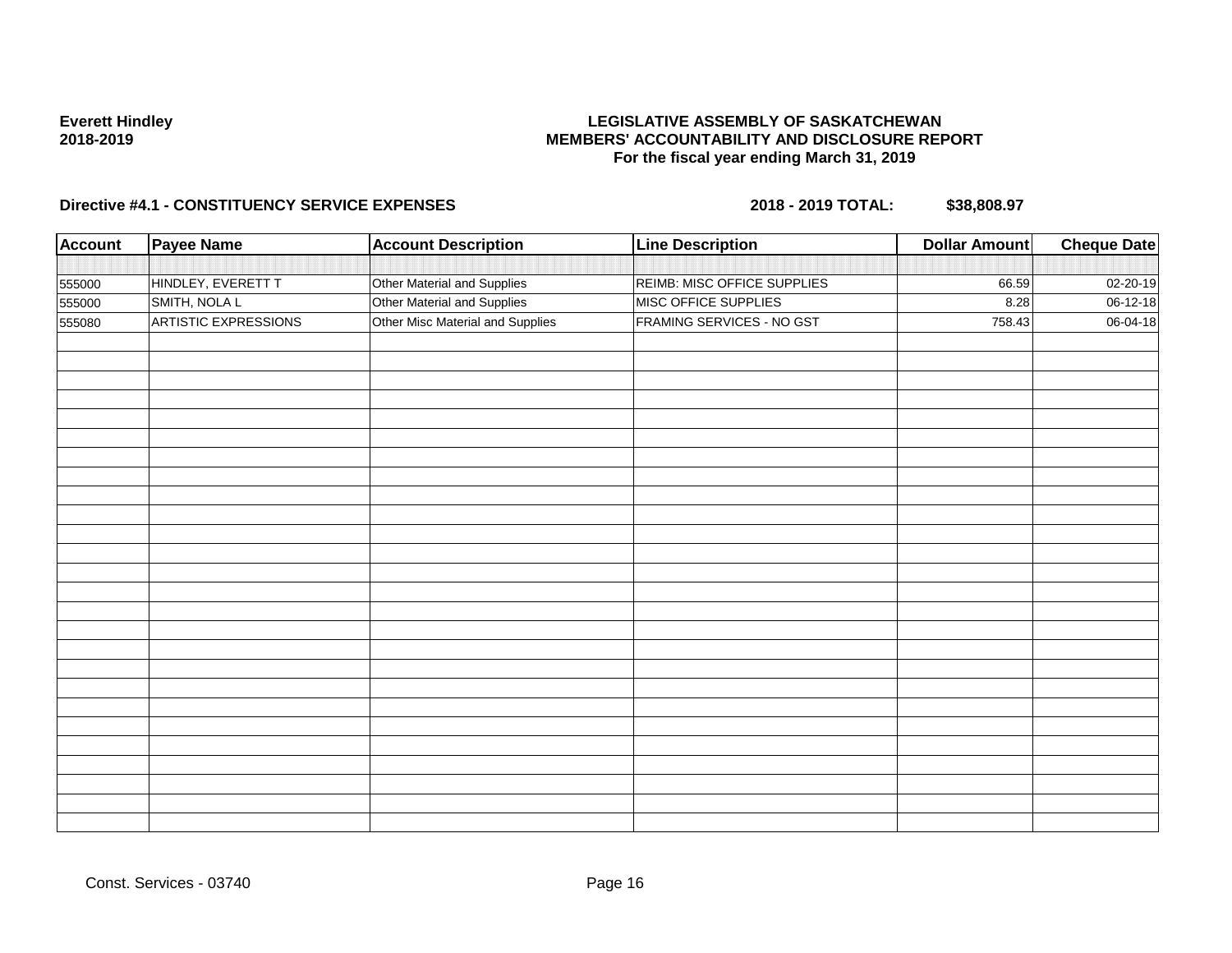## **LEGISLATIVE ASSEMBLY OF SASKATCHEWAN MEMBERS' ACCOUNTABILITY AND DISCLOSURE REPORT For the fiscal year ending March 31, 2019**

| <b>Account</b> | <b>Payee Name</b>           | <b>Account Description</b>       | <b>Line Description</b>     | <b>Dollar Amount</b> | <b>Cheque Date</b> |
|----------------|-----------------------------|----------------------------------|-----------------------------|----------------------|--------------------|
|                |                             |                                  |                             |                      |                    |
| 555000         | HINDLEY, EVERETT T          | Other Material and Supplies      | REIMB: MISC OFFICE SUPPLIES | 66.59                | 02-20-19           |
| 555000         | SMITH, NOLA L               | Other Material and Supplies      | MISC OFFICE SUPPLIES        | 8.28                 | 06-12-18           |
| 555080         | <b>ARTISTIC EXPRESSIONS</b> | Other Misc Material and Supplies | FRAMING SERVICES - NO GST   | 758.43               | 06-04-18           |
|                |                             |                                  |                             |                      |                    |
|                |                             |                                  |                             |                      |                    |
|                |                             |                                  |                             |                      |                    |
|                |                             |                                  |                             |                      |                    |
|                |                             |                                  |                             |                      |                    |
|                |                             |                                  |                             |                      |                    |
|                |                             |                                  |                             |                      |                    |
|                |                             |                                  |                             |                      |                    |
|                |                             |                                  |                             |                      |                    |
|                |                             |                                  |                             |                      |                    |
|                |                             |                                  |                             |                      |                    |
|                |                             |                                  |                             |                      |                    |
|                |                             |                                  |                             |                      |                    |
|                |                             |                                  |                             |                      |                    |
|                |                             |                                  |                             |                      |                    |
|                |                             |                                  |                             |                      |                    |
|                |                             |                                  |                             |                      |                    |
|                |                             |                                  |                             |                      |                    |
|                |                             |                                  |                             |                      |                    |
|                |                             |                                  |                             |                      |                    |
|                |                             |                                  |                             |                      |                    |
|                |                             |                                  |                             |                      |                    |
|                |                             |                                  |                             |                      |                    |
|                |                             |                                  |                             |                      |                    |
|                |                             |                                  |                             |                      |                    |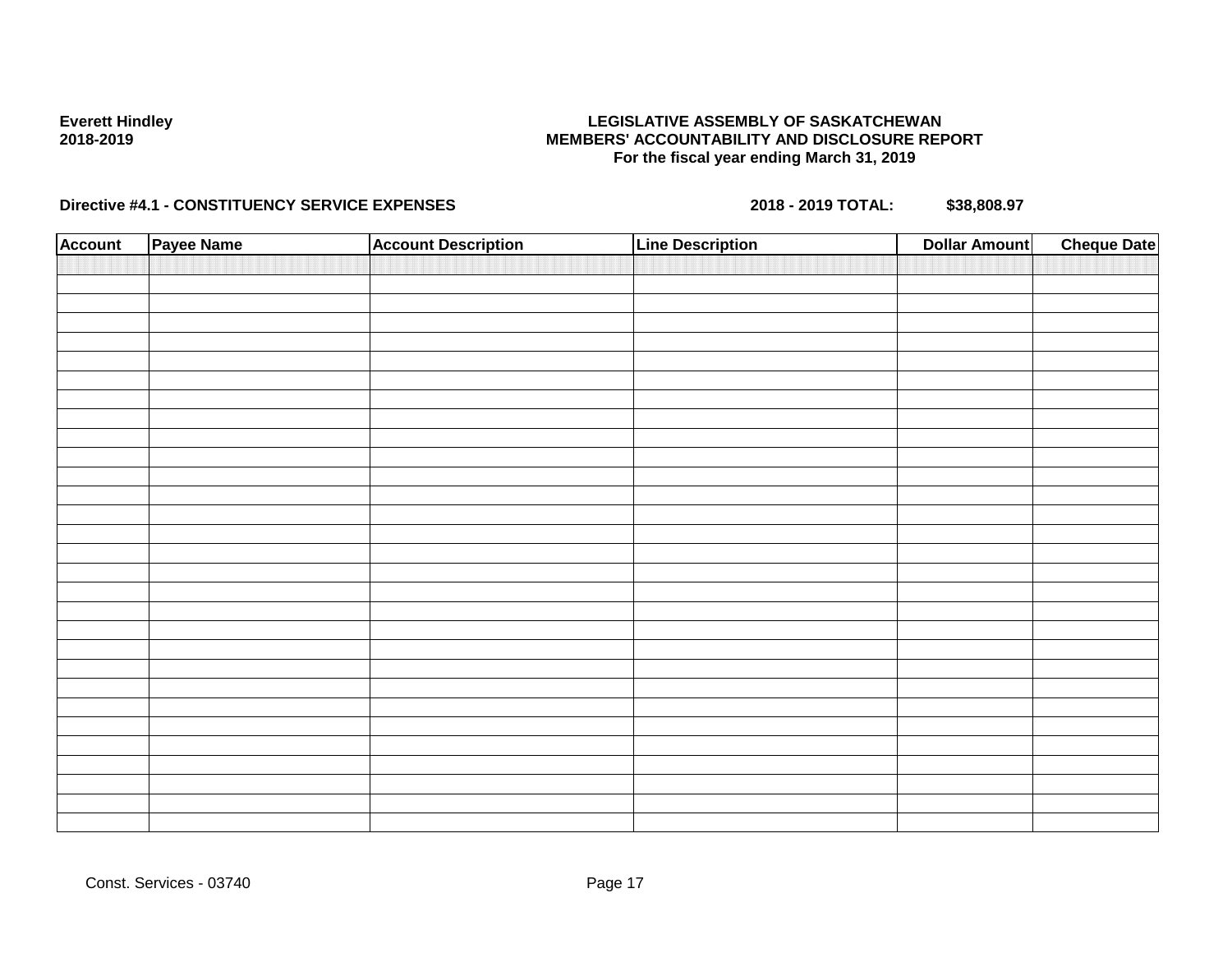## **LEGISLATIVE ASSEMBLY OF SASKATCHEWAN MEMBERS' ACCOUNTABILITY AND DISCLOSURE REPORT For the fiscal year ending March 31, 2019**

| <b>Account</b> | Payee Name | <b>Account Description</b> | <b>Line Description</b> | <b>Cheque Date</b><br><b>Dollar Amount</b> |
|----------------|------------|----------------------------|-------------------------|--------------------------------------------|
|                |            |                            |                         |                                            |
|                |            |                            |                         |                                            |
|                |            |                            |                         |                                            |
|                |            |                            |                         |                                            |
|                |            |                            |                         |                                            |
|                |            |                            |                         |                                            |
|                |            |                            |                         |                                            |
|                |            |                            |                         |                                            |
|                |            |                            |                         |                                            |
|                |            |                            |                         |                                            |
|                |            |                            |                         |                                            |
|                |            |                            |                         |                                            |
|                |            |                            |                         |                                            |
|                |            |                            |                         |                                            |
|                |            |                            |                         |                                            |
|                |            |                            |                         |                                            |
|                |            |                            |                         |                                            |
|                |            |                            |                         |                                            |
|                |            |                            |                         |                                            |
|                |            |                            |                         |                                            |
|                |            |                            |                         |                                            |
|                |            |                            |                         |                                            |
|                |            |                            |                         |                                            |
|                |            |                            |                         |                                            |
|                |            |                            |                         |                                            |
|                |            |                            |                         |                                            |
|                |            |                            |                         |                                            |
|                |            |                            |                         |                                            |
|                |            |                            |                         |                                            |
|                |            |                            |                         |                                            |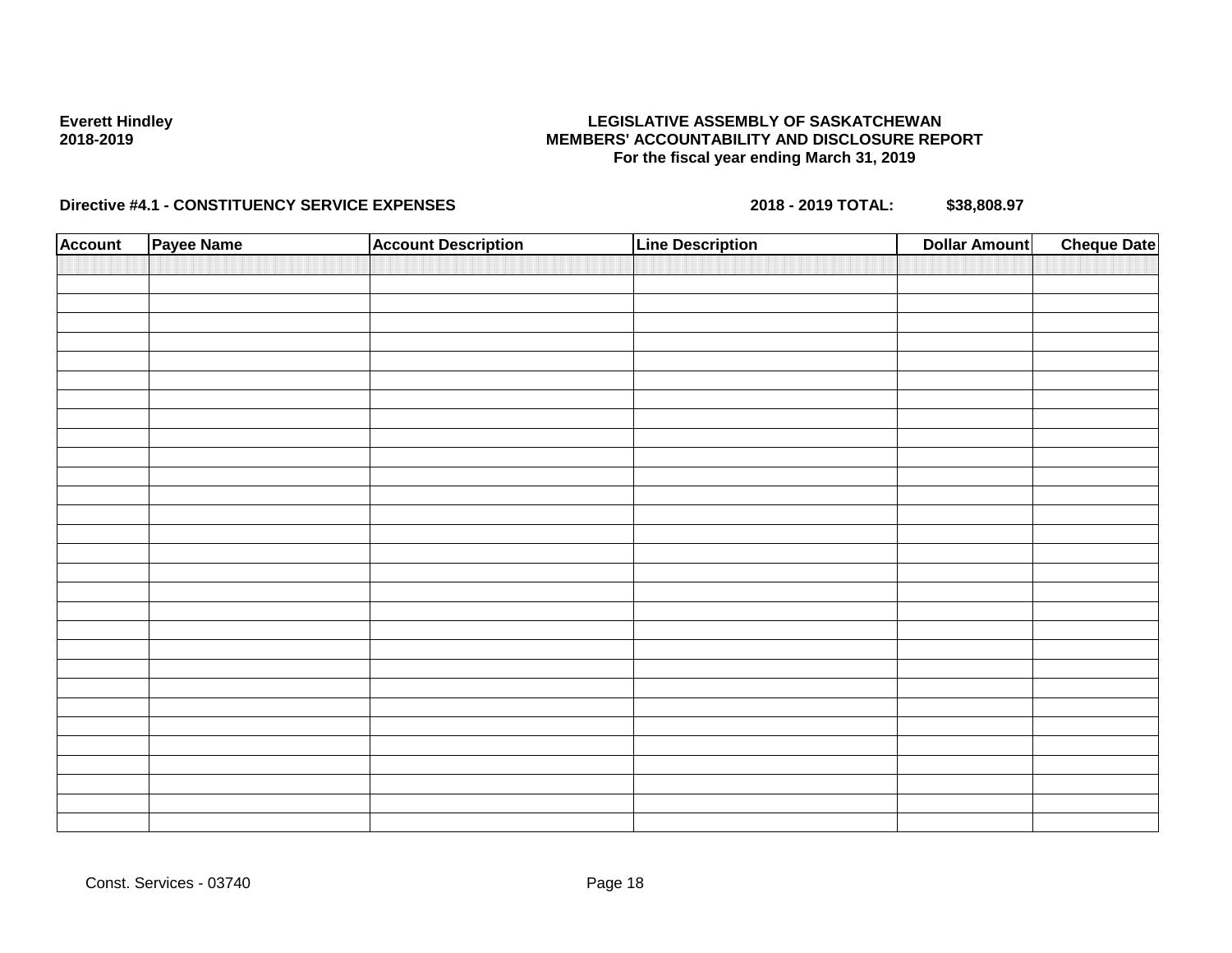## **LEGISLATIVE ASSEMBLY OF SASKATCHEWAN MEMBERS' ACCOUNTABILITY AND DISCLOSURE REPORT For the fiscal year ending March 31, 2019**

| <b>Account</b> | Payee Name | <b>Account Description</b> | <b>Line Description</b> | <b>Cheque Date</b><br><b>Dollar Amount</b> |
|----------------|------------|----------------------------|-------------------------|--------------------------------------------|
|                |            |                            |                         |                                            |
|                |            |                            |                         |                                            |
|                |            |                            |                         |                                            |
|                |            |                            |                         |                                            |
|                |            |                            |                         |                                            |
|                |            |                            |                         |                                            |
|                |            |                            |                         |                                            |
|                |            |                            |                         |                                            |
|                |            |                            |                         |                                            |
|                |            |                            |                         |                                            |
|                |            |                            |                         |                                            |
|                |            |                            |                         |                                            |
|                |            |                            |                         |                                            |
|                |            |                            |                         |                                            |
|                |            |                            |                         |                                            |
|                |            |                            |                         |                                            |
|                |            |                            |                         |                                            |
|                |            |                            |                         |                                            |
|                |            |                            |                         |                                            |
|                |            |                            |                         |                                            |
|                |            |                            |                         |                                            |
|                |            |                            |                         |                                            |
|                |            |                            |                         |                                            |
|                |            |                            |                         |                                            |
|                |            |                            |                         |                                            |
|                |            |                            |                         |                                            |
|                |            |                            |                         |                                            |
|                |            |                            |                         |                                            |
|                |            |                            |                         |                                            |
|                |            |                            |                         |                                            |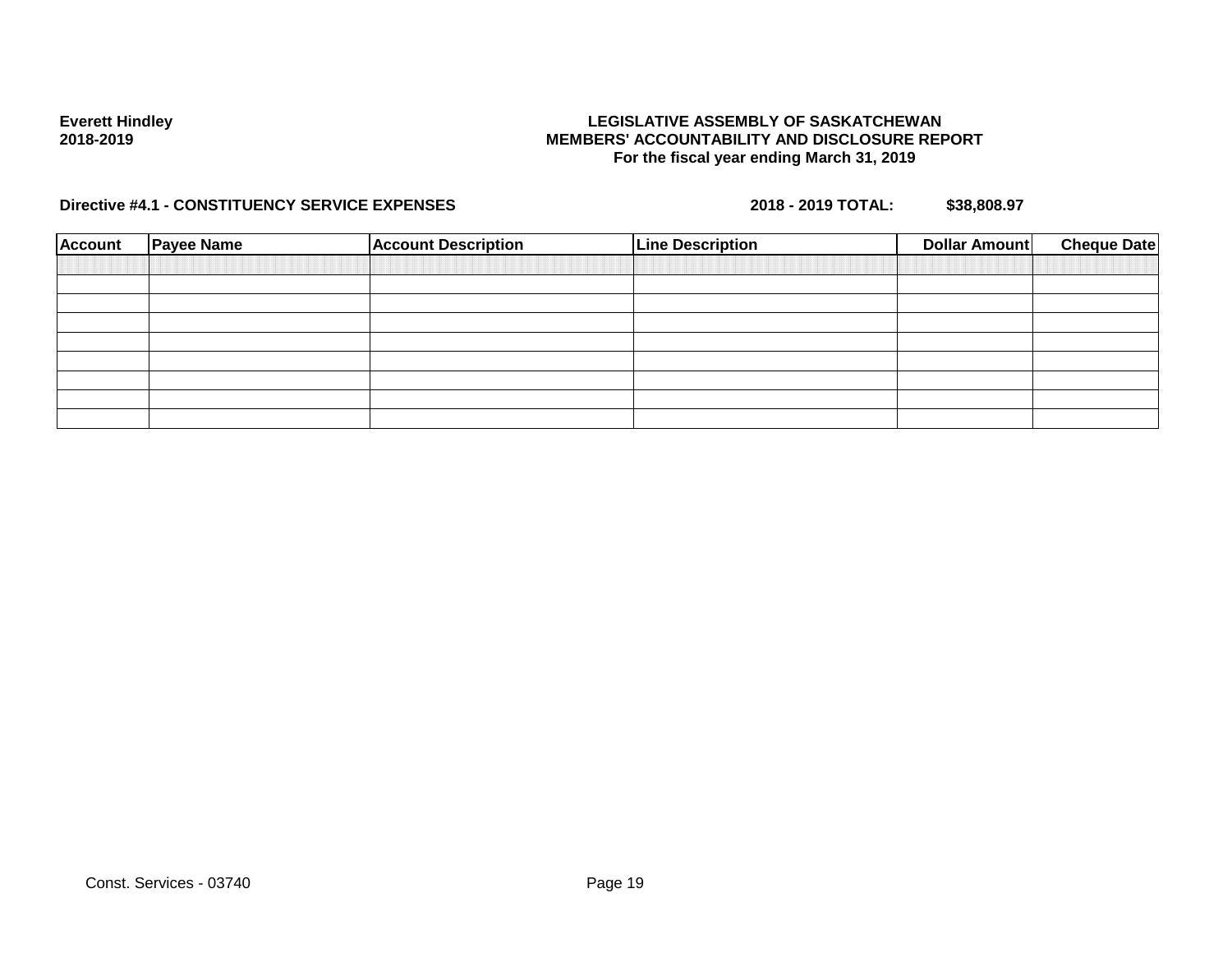## **LEGISLATIVE ASSEMBLY OF SASKATCHEWAN MEMBERS' ACCOUNTABILITY AND DISCLOSURE REPORT For the fiscal year ending March 31, 2019**

| <b>Account</b> | <b>Payee Name</b> | <b>Account Description</b> | <b>Line Description</b> | <b>Cheque Date</b><br>Dollar Amount |  |
|----------------|-------------------|----------------------------|-------------------------|-------------------------------------|--|
|                |                   |                            |                         |                                     |  |
|                |                   |                            |                         |                                     |  |
|                |                   |                            |                         |                                     |  |
|                |                   |                            |                         |                                     |  |
|                |                   |                            |                         |                                     |  |
|                |                   |                            |                         |                                     |  |
|                |                   |                            |                         |                                     |  |
|                |                   |                            |                         |                                     |  |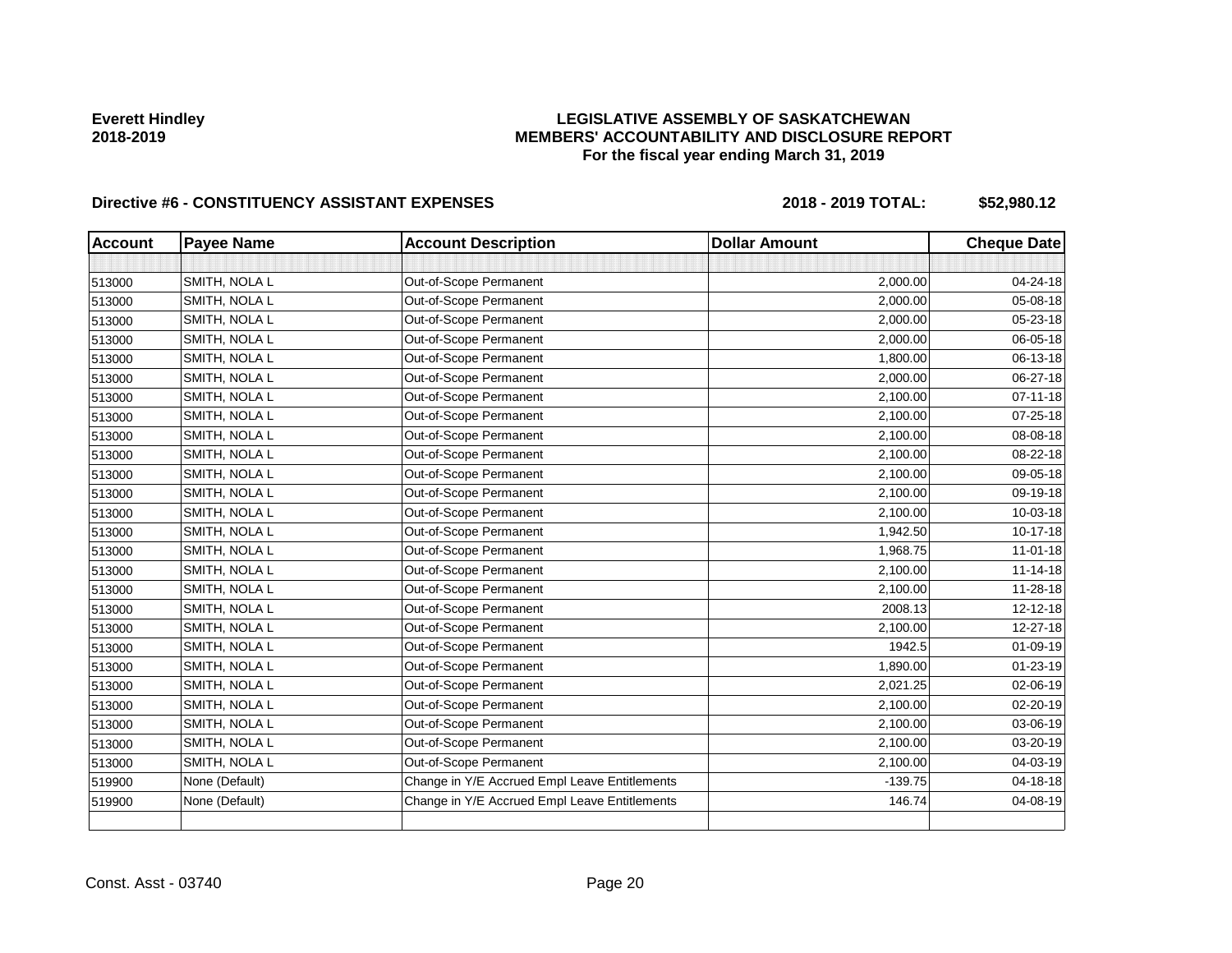## **LEGISLATIVE ASSEMBLY OF SASKATCHEWAN MEMBERS' ACCOUNTABILITY AND DISCLOSURE REPORT For the fiscal year ending March 31, 2019**

| <b>Account</b> | <b>Payee Name</b> | <b>Account Description</b>                    | <b>Dollar Amount</b> | <b>Cheque Date</b> |
|----------------|-------------------|-----------------------------------------------|----------------------|--------------------|
|                |                   |                                               |                      |                    |
| 513000         | SMITH, NOLA L     | Out-of-Scope Permanent                        | 2,000.00             | 04-24-18           |
| 513000         | SMITH, NOLA L     | Out-of-Scope Permanent                        | 2,000.00             | 05-08-18           |
| 513000         | SMITH, NOLA L     | Out-of-Scope Permanent                        | 2,000.00             | 05-23-18           |
| 513000         | SMITH, NOLA L     | Out-of-Scope Permanent                        | 2,000.00             | 06-05-18           |
| 513000         | SMITH, NOLA L     | Out-of-Scope Permanent                        | 1,800.00             | 06-13-18           |
| 513000         | SMITH, NOLA L     | Out-of-Scope Permanent                        | 2,000.00             | 06-27-18           |
| 513000         | SMITH, NOLA L     | Out-of-Scope Permanent                        | 2,100.00             | $07 - 11 - 18$     |
| 513000         | SMITH, NOLA L     | Out-of-Scope Permanent                        | 2,100.00             | 07-25-18           |
| 513000         | SMITH, NOLA L     | Out-of-Scope Permanent                        | 2,100.00             | 08-08-18           |
| 513000         | SMITH, NOLA L     | Out-of-Scope Permanent                        | 2,100.00             | 08-22-18           |
| 513000         | SMITH, NOLA L     | Out-of-Scope Permanent                        | 2,100.00             | 09-05-18           |
| 513000         | SMITH, NOLA L     | Out-of-Scope Permanent                        | 2,100.00             | 09-19-18           |
| 513000         | SMITH, NOLA L     | Out-of-Scope Permanent                        | 2,100.00             | 10-03-18           |
| 513000         | SMITH, NOLA L     | Out-of-Scope Permanent                        | 1,942.50             | 10-17-18           |
| 513000         | SMITH, NOLA L     | Out-of-Scope Permanent                        | 1,968.75             | $11-01-18$         |
| 513000         | SMITH, NOLA L     | Out-of-Scope Permanent                        | 2,100.00             | $11 - 14 - 18$     |
| 513000         | SMITH, NOLA L     | Out-of-Scope Permanent                        | 2,100.00             | 11-28-18           |
| 513000         | SMITH, NOLA L     | Out-of-Scope Permanent                        | 2008.13              | 12-12-18           |
| 513000         | SMITH, NOLA L     | Out-of-Scope Permanent                        | 2,100.00             | 12-27-18           |
| 513000         | SMITH, NOLA L     | Out-of-Scope Permanent                        | 1942.5               | 01-09-19           |
| 513000         | SMITH, NOLA L     | Out-of-Scope Permanent                        | 1,890.00             | $01 - 23 - 19$     |
| 513000         | SMITH, NOLA L     | Out-of-Scope Permanent                        | 2,021.25             | 02-06-19           |
| 513000         | SMITH, NOLA L     | Out-of-Scope Permanent                        | 2,100.00             | 02-20-19           |
| 513000         | SMITH, NOLA L     | Out-of-Scope Permanent                        | 2,100.00             | 03-06-19           |
| 513000         | SMITH, NOLA L     | Out-of-Scope Permanent                        | 2,100.00             | 03-20-19           |
| 513000         | SMITH, NOLA L     | Out-of-Scope Permanent                        | 2,100.00             | 04-03-19           |
| 519900         | None (Default)    | Change in Y/E Accrued Empl Leave Entitlements | $-139.75$            | 04-18-18           |
| 519900         | None (Default)    | Change in Y/E Accrued Empl Leave Entitlements | 146.74               | 04-08-19           |
|                |                   |                                               |                      |                    |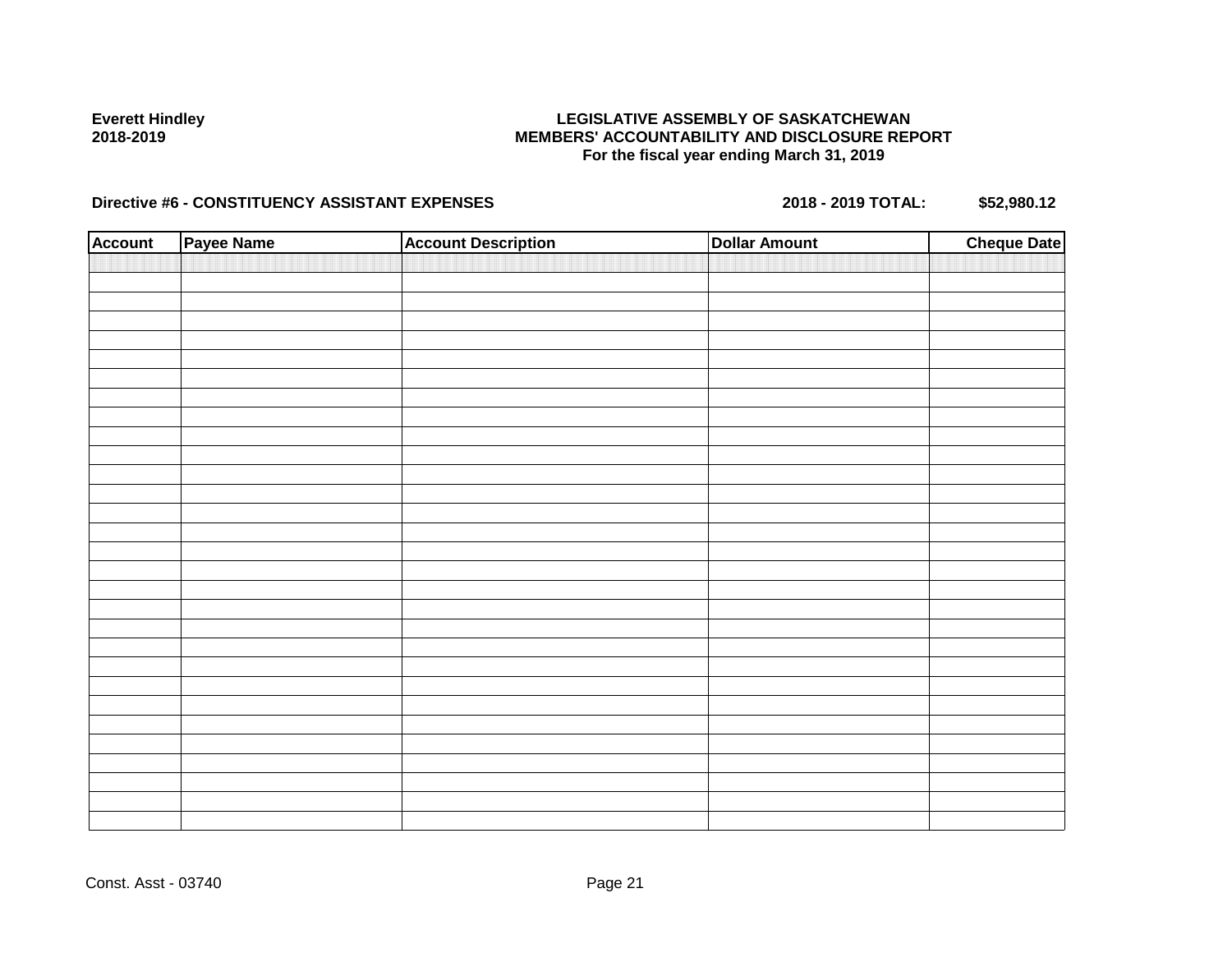## **LEGISLATIVE ASSEMBLY OF SASKATCHEWAN MEMBERS' ACCOUNTABILITY AND DISCLOSURE REPORT For the fiscal year ending March 31, 2019**

| <b>Account</b> | Payee Name | <b>Account Description</b> | <b>Dollar Amount</b> | <b>Cheque Date</b> |
|----------------|------------|----------------------------|----------------------|--------------------|
|                |            |                            |                      |                    |
|                |            |                            |                      |                    |
|                |            |                            |                      |                    |
|                |            |                            |                      |                    |
|                |            |                            |                      |                    |
|                |            |                            |                      |                    |
|                |            |                            |                      |                    |
|                |            |                            |                      |                    |
|                |            |                            |                      |                    |
|                |            |                            |                      |                    |
|                |            |                            |                      |                    |
|                |            |                            |                      |                    |
|                |            |                            |                      |                    |
|                |            |                            |                      |                    |
|                |            |                            |                      |                    |
|                |            |                            |                      |                    |
|                |            |                            |                      |                    |
|                |            |                            |                      |                    |
|                |            |                            |                      |                    |
|                |            |                            |                      |                    |
|                |            |                            |                      |                    |
|                |            |                            |                      |                    |
|                |            |                            |                      |                    |
|                |            |                            |                      |                    |
|                |            |                            |                      |                    |
|                |            |                            |                      |                    |
|                |            |                            |                      |                    |
|                |            |                            |                      |                    |
|                |            |                            |                      |                    |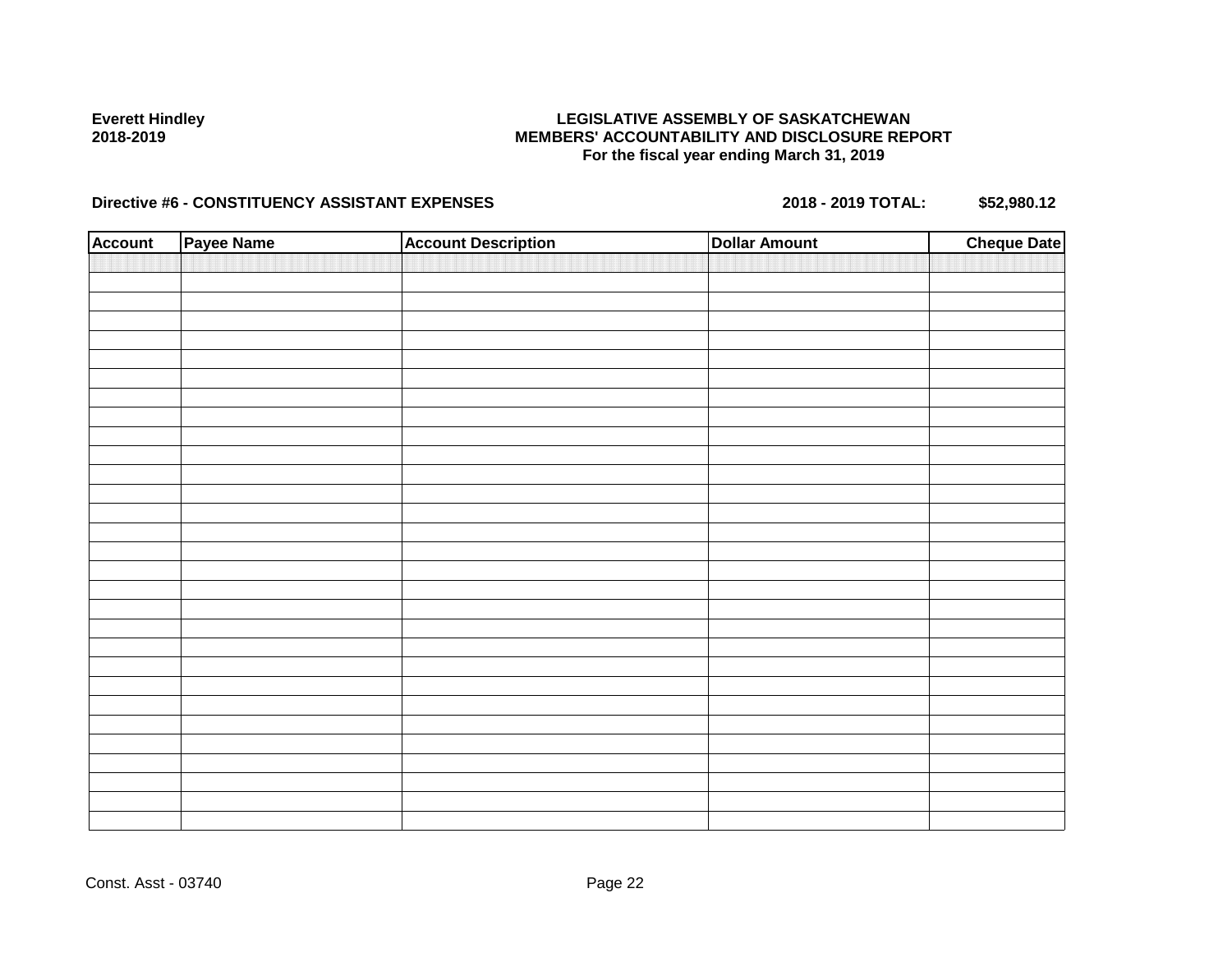## **LEGISLATIVE ASSEMBLY OF SASKATCHEWAN MEMBERS' ACCOUNTABILITY AND DISCLOSURE REPORT For the fiscal year ending March 31, 2019**

| <b>Account</b> | Payee Name | <b>Account Description</b> | <b>Dollar Amount</b> | <b>Cheque Date</b> |
|----------------|------------|----------------------------|----------------------|--------------------|
|                |            |                            |                      |                    |
|                |            |                            |                      |                    |
|                |            |                            |                      |                    |
|                |            |                            |                      |                    |
|                |            |                            |                      |                    |
|                |            |                            |                      |                    |
|                |            |                            |                      |                    |
|                |            |                            |                      |                    |
|                |            |                            |                      |                    |
|                |            |                            |                      |                    |
|                |            |                            |                      |                    |
|                |            |                            |                      |                    |
|                |            |                            |                      |                    |
|                |            |                            |                      |                    |
|                |            |                            |                      |                    |
|                |            |                            |                      |                    |
|                |            |                            |                      |                    |
|                |            |                            |                      |                    |
|                |            |                            |                      |                    |
|                |            |                            |                      |                    |
|                |            |                            |                      |                    |
|                |            |                            |                      |                    |
|                |            |                            |                      |                    |
|                |            |                            |                      |                    |
|                |            |                            |                      |                    |
|                |            |                            |                      |                    |
|                |            |                            |                      |                    |
|                |            |                            |                      |                    |
|                |            |                            |                      |                    |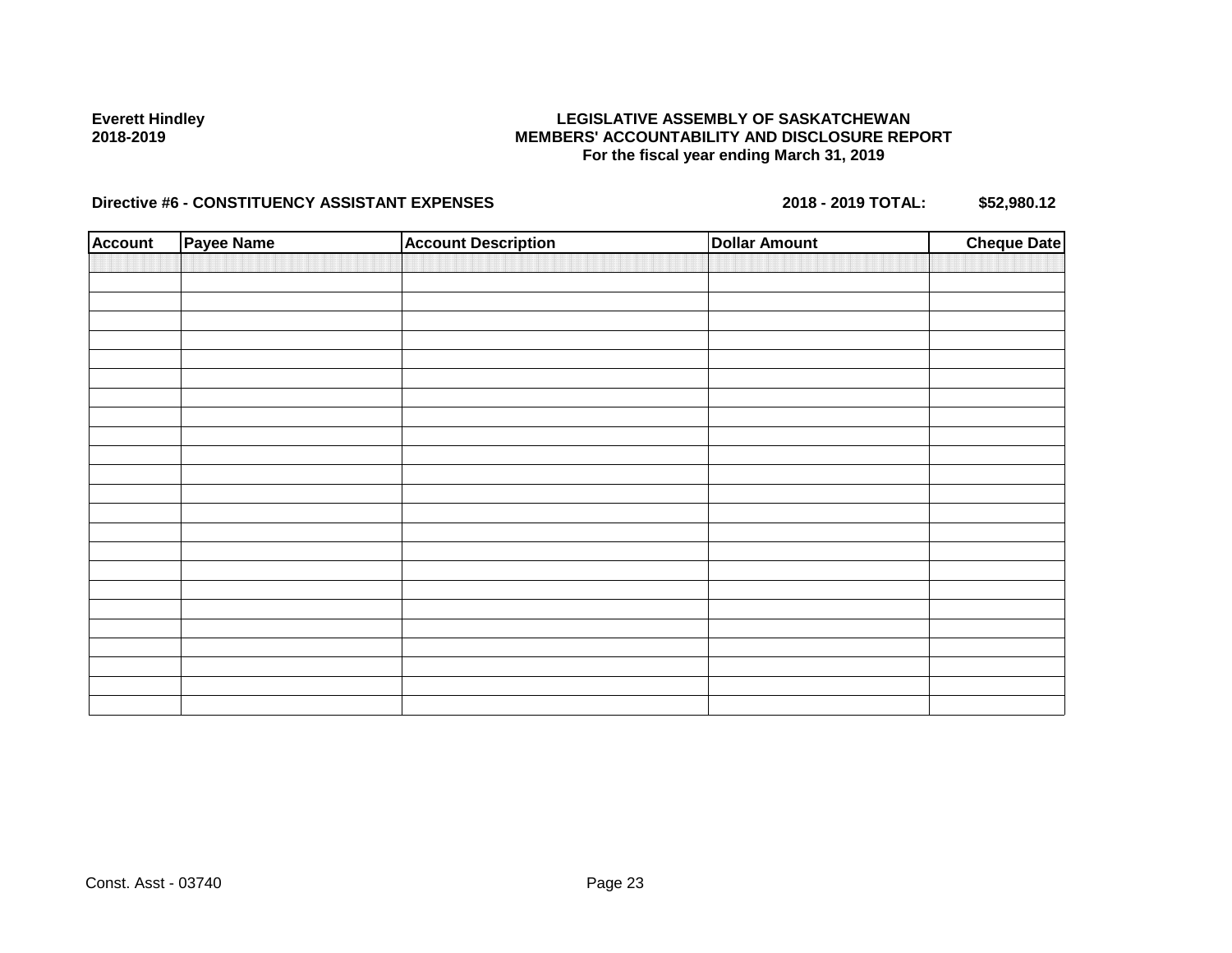## **LEGISLATIVE ASSEMBLY OF SASKATCHEWAN MEMBERS' ACCOUNTABILITY AND DISCLOSURE REPORT For the fiscal year ending March 31, 2019**

| <b>Account</b> | <b>Payee Name</b> | <b>Account Description</b> | <b>Dollar Amount</b> | <b>Cheque Date</b> |
|----------------|-------------------|----------------------------|----------------------|--------------------|
|                |                   |                            |                      |                    |
|                |                   |                            |                      |                    |
|                |                   |                            |                      |                    |
|                |                   |                            |                      |                    |
|                |                   |                            |                      |                    |
|                |                   |                            |                      |                    |
|                |                   |                            |                      |                    |
|                |                   |                            |                      |                    |
|                |                   |                            |                      |                    |
|                |                   |                            |                      |                    |
|                |                   |                            |                      |                    |
|                |                   |                            |                      |                    |
|                |                   |                            |                      |                    |
|                |                   |                            |                      |                    |
|                |                   |                            |                      |                    |
|                |                   |                            |                      |                    |
|                |                   |                            |                      |                    |
|                |                   |                            |                      |                    |
|                |                   |                            |                      |                    |
|                |                   |                            |                      |                    |
|                |                   |                            |                      |                    |
|                |                   |                            |                      |                    |
|                |                   |                            |                      |                    |
|                |                   |                            |                      |                    |